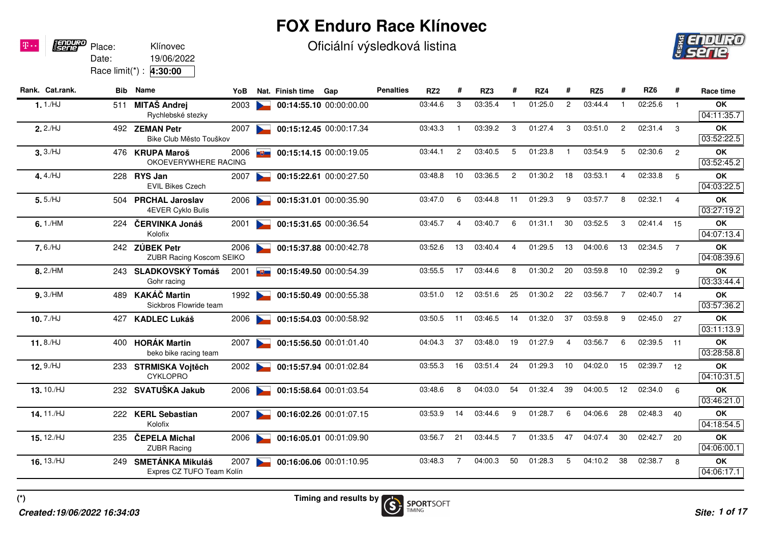## **FOX Enduro Race Klínovec**

Oficiální výsledková listina



| Rank. Cat.rank. | Bib | <b>Name</b>                                          | YoB  |                | Nat. Finish time | Gap                     | <b>Penalties</b> | RZ <sub>2</sub> |                | RZ3     |                | RZ4     |                | RZ <sub>5</sub> |                | RZ <sub>6</sub> | #              | Race time               |
|-----------------|-----|------------------------------------------------------|------|----------------|------------------|-------------------------|------------------|-----------------|----------------|---------|----------------|---------|----------------|-----------------|----------------|-----------------|----------------|-------------------------|
| 1.1/HJ          | 511 | <b>MITAŠ Andrej</b><br>Rychlebské stezky             | 2003 |                |                  | 00:14:55.10 00:00:00.00 |                  | 03:44.6         | 3              | 03:35.4 |                | 01:25.0 | $\overline{2}$ | 03:44.4         |                | 02:25.6         | $\overline{1}$ | OK<br>04:11:35.7        |
| 2.2/HJ          |     | 492 ZEMAN Petr<br>Bike Club Město Touškov            | 2007 |                |                  | 00:15:12.45 00:00:17.34 |                  | 03:43.3         | -1             | 03:39.2 | 3              | 01:27.4 | 3              | 03:51.0         | $\overline{2}$ | 02:31.4         | -3             | OK<br>03:52:22.5        |
| 3.3/HJ          |     | 476 KRUPA Maroš<br>OKOEVERYWHERE RACING              | 2006 | <u>n Chang</u> |                  | 00:15:14.15 00:00:19.05 |                  | 03:44.1         | $\mathbf{2}$   | 03:40.5 | 5              | 01:23.8 | -1             | 03:54.9         | 5              | 02:30.6         | $\overline{2}$ | OK<br>03:52:45.2        |
| 4.4./HJ         |     | 228 RYS Jan<br><b>EVIL Bikes Czech</b>               | 2007 |                |                  | 00:15:22.61 00:00:27.50 |                  | 03:48.8         | 10             | 03:36.5 | $\overline{2}$ | 01:30.2 | 18             | 03:53.1         | 4              | 02:33.8         | 5              | OK<br>04:03:22.5        |
| $5.5$ /HJ       | 504 | <b>PRCHAL Jaroslav</b><br>4EVER Cyklo Bulis          | 2006 |                |                  | 00:15:31.01 00:00:35.90 |                  | 03:47.0         | 6              | 03:44.8 | 11             | 01:29.3 | 9              | 03:57.7         | 8              | 02:32.1         | $\overline{4}$ | OK<br>03:27:19.2        |
| $6.1$ /HM       | 224 | ČERVINKA Jonáš<br>Kolofix                            | 2001 |                |                  | 00:15:31.65 00:00:36.54 |                  | 03:45.7         | 4              | 03:40.7 | 6              | 01:31.1 | 30             | 03:52.5         | 3              | 02:41.4         | 15             | OK<br>04:07:13.4        |
| $7.6$ /HJ       |     | 242 ZÚBEK Petr<br><b>ZUBR Racing Koscom SEIKO</b>    | 2006 |                |                  | 00:15:37.88 00:00:42.78 |                  | 03:52.6         | 13             | 03:40.4 | 4              | 01:29.5 | 13             | 04:00.6         | 13             | 02:34.5         | $\overline{7}$ | OK<br>04:08:39.6        |
| 8.2/HM          |     | 243 SLADKOVSKÝ Tomáš<br>Gohr racing                  | 2001 | <b>REAL</b>    |                  | 00:15:49.50 00:00:54.39 |                  | 03:55.5         | 17             | 03:44.6 | 8              | 01:30.2 | 20             | 03:59.8         | 10             | 02:39.2         | - 9            | OK<br>03:33:44.4        |
| 9.3/HM          | 489 | <b>KAKÁČ Martin</b><br>Sickbros Flowride team        | 1992 |                |                  | 00:15:50.49 00:00:55.38 |                  | 03:51.0         | 12             | 03:51.6 | 25             | 01:30.2 | 22             | 03:56.7         | $\overline{7}$ | 02:40.7         | 14             | OK<br>03:57:36.2        |
| $10.7$ /HJ      | 427 | <b>KADLEC Lukáš</b>                                  | 2006 |                |                  | 00:15:54.03 00:00:58.92 |                  | 03:50.5         | 11             | 03:46.5 | 14             | 01:32.0 | 37             | 03:59.8         | 9              | 02:45.0         | 27             | <b>OK</b><br>03:11:13.9 |
| 11.8./ $HJ$     | 400 | <b>HORÁK Martin</b><br>beko bike racing team         | 2007 |                |                  | 00:15:56.50 00:01:01.40 |                  | 04:04.3         | 37             | 03:48.0 | 19             | 01:27.9 | $\overline{4}$ | 03:56.7         | 6              | 02:39.5         | 11             | OK<br>03:28:58.8        |
| 12.9./HJ        |     | 233 STRMISKA Vojtěch<br><b>CYKLOPRO</b>              | 2002 |                |                  | 00:15:57.94 00:01:02.84 |                  | 03:55.3         | 16             | 03:51.4 | 24             | 01:29.3 | 10             | 04:02.0         | 15             | 02:39.7         | 12             | OK<br>04:10:31.5        |
| 13.10./HJ       |     | 232 SVATUŠKA Jakub                                   | 2006 |                |                  | 00:15:58.64 00:01:03.54 |                  | 03:48.6         | 8              | 04:03.0 | 54             | 01:32.4 | 39             | 04:00.5         | 12             | 02:34.0         | 6              | OK<br>03:46:21.0        |
| 14.11./HJ       |     | 222 KERL Sebastian<br>Kolofix                        | 2007 |                |                  | 00:16:02.26 00:01:07.15 |                  | 03:53.9         | 14             | 03:44.6 | 9              | 01:28.7 | 6              | 04:06.6         | 28             | 02:48.3         | 40             | OK<br>04:18:54.5        |
| 15.12./HJ       | 235 | ČEPELA Michal<br><b>ZUBR Racing</b>                  | 2006 |                |                  | 00:16:05.01 00:01:09.90 |                  | 03:56.7         | 21             | 03:44.5 | $\overline{7}$ | 01:33.5 | 47             | 04:07.4         | 30             | 02:42.7         | 20             | OK<br>04:06:00.1        |
| 16.13./HJ       | 249 | <b>SMETÁNKA Mikuláš</b><br>Expres CZ TUFO Team Kolín | 2007 | $\sim$         |                  | 00:16:06.06 00:01:10.95 |                  | 03:48.3         | $\overline{7}$ | 04:00.3 | 50             | 01:28.3 | 5              | 04:10.2         | 38             | 02:38.7         | 8              | OK<br>04:06:17.1        |

**Timing and results by**

Date:

Place:

**FENDURO**<br>ISENE

 $\mathbf{p}$ .

19/06/2022

Race limit(\*) : **4:30:00**

Klínovec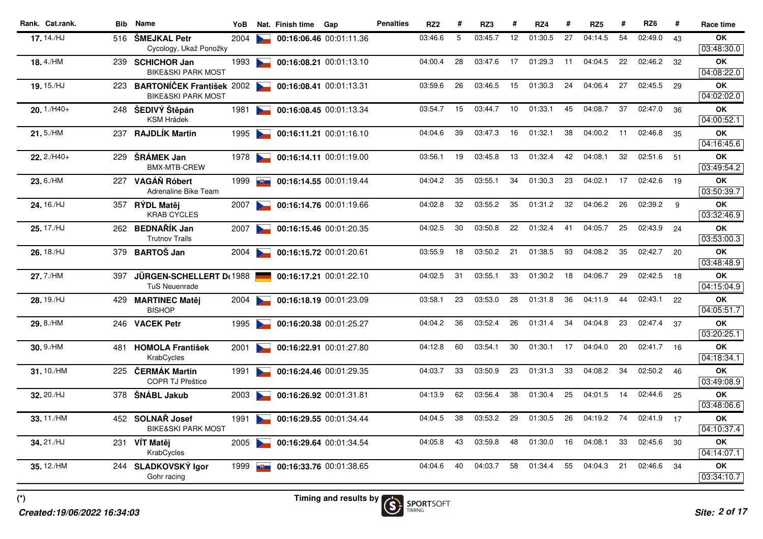| 17.14./HJ<br>03:46.6<br>5<br>03:45.7<br>12<br>01:30.5<br>27<br>04:14.5<br>54<br>02:49.0<br>OK<br>516 ŠMEJKAL Petr<br>2004<br>00:16:06.46 00:01:11.36<br>43<br>Cycology, Ukaž Ponožky<br>18.4./HM<br>28<br>03:47.6<br>17<br>01:29.3<br>04:04.5<br>22<br>02:46.2<br><b>OK</b><br>239 SCHICHOR Jan<br>1993<br>00:16:08.21 00:01:13.10<br>04:00.4<br>11<br>32<br><b>BIKE&amp;SKI PARK MOST</b><br>BARTONÍČEK František 2002<br>26<br>03:46.5<br>15<br>01:30.3<br>24<br>04:06.4<br>27<br>02:45.5<br>OK<br>19.15./HJ<br>03:59.6<br>223<br>00:16:08.41 00:01:13.31<br>29<br><b>BIKE&amp;SKI PARK MOST</b><br>248 ŠEDIVÝ Štěpán<br>03:54.7<br>15<br>03:44.7<br>10<br>01:33.1<br>45<br>04:08.7<br>37<br>02:47.0<br><b>OK</b><br>$20.1$ ./H40+<br>00:16:08.45 00:01:13.34<br>36<br>1981<br><b>Contract Contract Contract</b><br><b>KSM Hrádek</b><br><b>RAJDLÍK Martin</b><br>04:04.6<br>39<br>03:47.3<br>16<br>01:32.1<br>38<br>04:00.2<br>02:46.8<br>21.5./HM<br>11<br>OK<br>237<br>1995<br>00:16:11.21 00:01:16.10<br>35<br>ŠRÁMEK Jan<br>03:45.8<br>01:32.4<br>42<br>04:08.1<br>32<br>02:51.6<br>$22.2/H40+$<br>00:16:14.11 00:01:19.00<br>03:56.1<br>19<br>13<br><b>OK</b><br>229<br>1978<br>51<br><b>Contract Contract Contract Contract</b><br><b>BMX-MTB-CREW</b><br>35<br>03:55.1<br>34<br>01:30.3<br>23<br>04:02.1<br>17<br>02:42.6<br><b>OK</b><br>23.6./HM<br>227 VAGÁŇ Róbert<br>04:04.2<br>19<br>00:16:14.55 00:01:19.44<br>1999<br>$\mathbf{E}$<br>Adrenaline Bike Team<br>32<br>03:55.2<br>35<br>01:31.2<br>32<br>04:06.2<br>26<br>02:39.2<br><b>OK</b><br>24.16./HJ<br>04:02.8<br>9<br>357 RÝDL Matěj<br>2007<br>00:16:14.76 00:01:19.66<br><b>Contract Contract Contract</b><br><b>KRAB CYCLES</b><br>262 BEDNAŘÍK Jan<br>22<br>01:32.4<br>25<br>02:43.9<br>25.17./HJ<br>04:02.5<br>30<br>03:50.8<br>41<br>04:05.7<br>2007<br>00:16:15.46 00:01:20.35<br>24<br><b>OK</b><br><b>Trutnov Trails</b><br>21<br>93<br>35<br>26.18./HJ<br><b>BARTOŠ Jan</b><br>03:55.9<br>18<br>03:50.2<br>01:38.5<br>04:08.2<br>02:42.7<br>20<br>OK<br>00:16:15.72 00:01:20.61<br>379<br>2004<br><b>Contract Contract Contract</b><br>31<br>03:55.1<br>33<br>01:30.2<br>29<br>02:42.5<br>27.7./HM<br>04:02.5<br>18<br>04:06.7<br>18<br><b>OK</b><br><b>JÜRGEN-SCHELLERT Dt 1988</b><br>00:16:17.21 00:01:22.10<br>397<br><b>TuS Neuenrade</b><br>23<br>03:53.0<br>28<br>01:31.8<br>36<br>04:11.9<br>44<br>02:43.1<br>OK<br>28.19./HJ<br>03:58.1<br>22<br><b>MARTINEC Matěj</b><br>2004<br>00:16:18.19 00:01:23.09<br>429<br><b>BISHOP</b><br>04:04.2<br>36<br>03:52.4<br>26<br>01:31.4<br>34<br>04:04.8<br>23<br>02:47.4<br>OK<br>29.8./HM<br>246 VACEK Petr<br>00:16:20.38 00:01:25.27<br>37<br>1995<br>60<br>03:54.1<br>30<br>01:30.1<br>17<br>04:04.0<br>20<br>02:41.7<br>04:12.8<br><b>OK</b><br>30.9./HM<br><b>HOMOLA František</b><br>00:16:22.91 00:01:27.80<br>16<br>2001<br>481<br>KrabCycles<br>23<br>01:31.3<br>33<br>04:08.2<br>02:50.2<br>31.10./HM<br>04:03.7<br>33<br>03:50.9<br>34<br><b>OK</b><br>225 ČERMÁK Martin<br>00:16:24.46 00:01:29.35<br>46<br>1991<br><b>COPR TJ Přeštice</b><br>02:44.6<br><b>OK</b><br>32.20./HJ<br>04:13.9<br>62<br>03:56.4<br>38<br>01:30.4<br>25<br>04:01.5<br>378<br>ŠNÁBL Jakub<br>00:16:26.92 00:01:31.81<br>14<br>25<br>2003<br>452 SOLNAŘ Josef<br>38<br>03:53.2<br>29<br>01:30.5<br>26<br>04:19.2<br><b>OK</b><br>33.11./HM<br>04:04.5<br>74<br>02:41.9 17<br>00:16:29.55 00:01:34.44<br>1991<br><b>Contract Contract Contract</b><br><b>BIKE&amp;SKI PARK MOST</b><br>04:05.8<br>43<br>03:59.8<br>48<br>01:30.0<br>16<br>04:08.1<br>33<br>02:45.6<br>34.21./HJ<br>30<br>OK<br>231 VIT Matěi<br>2005<br>00:16:29.64 00:01:34.54<br>KrabCycles<br>40<br>04:03.7<br>58<br>01:34.4<br>55<br>04:04.3<br>21<br>02:46.6<br>OK<br>35.12./HM<br>04:04.6<br>34<br>244 SLADKOVSKÝ Igor<br>$\frac{10}{100}$ 00:16:33.76 00:01:38.65<br>1999 | Rank. Cat.rank. | <b>Bib</b> Name | YoB | Nat. Finish time | Gap | <b>Penalties</b> | RZ <sub>2</sub> | # | RZ3 | # | RZ4 | # | RZ <sub>5</sub> | # | RZ <sub>6</sub> | # | Race time  |
|---------------------------------------------------------------------------------------------------------------------------------------------------------------------------------------------------------------------------------------------------------------------------------------------------------------------------------------------------------------------------------------------------------------------------------------------------------------------------------------------------------------------------------------------------------------------------------------------------------------------------------------------------------------------------------------------------------------------------------------------------------------------------------------------------------------------------------------------------------------------------------------------------------------------------------------------------------------------------------------------------------------------------------------------------------------------------------------------------------------------------------------------------------------------------------------------------------------------------------------------------------------------------------------------------------------------------------------------------------------------------------------------------------------------------------------------------------------------------------------------------------------------------------------------------------------------------------------------------------------------------------------------------------------------------------------------------------------------------------------------------------------------------------------------------------------------------------------------------------------------------------------------------------------------------------------------------------------------------------------------------------------------------------------------------------------------------------------------------------------------------------------------------------------------------------------------------------------------------------------------------------------------------------------------------------------------------------------------------------------------------------------------------------------------------------------------------------------------------------------------------------------------------------------------------------------------------------------------------------------------------------------------------------------------------------------------------------------------------------------------------------------------------------------------------------------------------------------------------------------------------------------------------------------------------------------------------------------------------------------------------------------------------------------------------------------------------------------------------------------------------------------------------------------------------------------------------------------------------------------------------------------------------------------------------------------------------------------------------------------------------------------------------------------------------------------------------------------------------------------------------------------------------------------------------------------------------------------------------------------------------------------------------------------------------------------------------------------------------------------------------------------------------------------------------------------------------------------------------------------------------|-----------------|-----------------|-----|------------------|-----|------------------|-----------------|---|-----|---|-----|---|-----------------|---|-----------------|---|------------|
|                                                                                                                                                                                                                                                                                                                                                                                                                                                                                                                                                                                                                                                                                                                                                                                                                                                                                                                                                                                                                                                                                                                                                                                                                                                                                                                                                                                                                                                                                                                                                                                                                                                                                                                                                                                                                                                                                                                                                                                                                                                                                                                                                                                                                                                                                                                                                                                                                                                                                                                                                                                                                                                                                                                                                                                                                                                                                                                                                                                                                                                                                                                                                                                                                                                                                                                                                                                                                                                                                                                                                                                                                                                                                                                                                                                                                                                                           |                 |                 |     |                  |     |                  |                 |   |     |   |     |   |                 |   |                 |   | 03:48:30.0 |
|                                                                                                                                                                                                                                                                                                                                                                                                                                                                                                                                                                                                                                                                                                                                                                                                                                                                                                                                                                                                                                                                                                                                                                                                                                                                                                                                                                                                                                                                                                                                                                                                                                                                                                                                                                                                                                                                                                                                                                                                                                                                                                                                                                                                                                                                                                                                                                                                                                                                                                                                                                                                                                                                                                                                                                                                                                                                                                                                                                                                                                                                                                                                                                                                                                                                                                                                                                                                                                                                                                                                                                                                                                                                                                                                                                                                                                                                           |                 |                 |     |                  |     |                  |                 |   |     |   |     |   |                 |   |                 |   | 04:08:22.0 |
|                                                                                                                                                                                                                                                                                                                                                                                                                                                                                                                                                                                                                                                                                                                                                                                                                                                                                                                                                                                                                                                                                                                                                                                                                                                                                                                                                                                                                                                                                                                                                                                                                                                                                                                                                                                                                                                                                                                                                                                                                                                                                                                                                                                                                                                                                                                                                                                                                                                                                                                                                                                                                                                                                                                                                                                                                                                                                                                                                                                                                                                                                                                                                                                                                                                                                                                                                                                                                                                                                                                                                                                                                                                                                                                                                                                                                                                                           |                 |                 |     |                  |     |                  |                 |   |     |   |     |   |                 |   |                 |   | 04:02:02.0 |
|                                                                                                                                                                                                                                                                                                                                                                                                                                                                                                                                                                                                                                                                                                                                                                                                                                                                                                                                                                                                                                                                                                                                                                                                                                                                                                                                                                                                                                                                                                                                                                                                                                                                                                                                                                                                                                                                                                                                                                                                                                                                                                                                                                                                                                                                                                                                                                                                                                                                                                                                                                                                                                                                                                                                                                                                                                                                                                                                                                                                                                                                                                                                                                                                                                                                                                                                                                                                                                                                                                                                                                                                                                                                                                                                                                                                                                                                           |                 |                 |     |                  |     |                  |                 |   |     |   |     |   |                 |   |                 |   | 04:00:52.1 |
|                                                                                                                                                                                                                                                                                                                                                                                                                                                                                                                                                                                                                                                                                                                                                                                                                                                                                                                                                                                                                                                                                                                                                                                                                                                                                                                                                                                                                                                                                                                                                                                                                                                                                                                                                                                                                                                                                                                                                                                                                                                                                                                                                                                                                                                                                                                                                                                                                                                                                                                                                                                                                                                                                                                                                                                                                                                                                                                                                                                                                                                                                                                                                                                                                                                                                                                                                                                                                                                                                                                                                                                                                                                                                                                                                                                                                                                                           |                 |                 |     |                  |     |                  |                 |   |     |   |     |   |                 |   |                 |   | 04:16:45.6 |
|                                                                                                                                                                                                                                                                                                                                                                                                                                                                                                                                                                                                                                                                                                                                                                                                                                                                                                                                                                                                                                                                                                                                                                                                                                                                                                                                                                                                                                                                                                                                                                                                                                                                                                                                                                                                                                                                                                                                                                                                                                                                                                                                                                                                                                                                                                                                                                                                                                                                                                                                                                                                                                                                                                                                                                                                                                                                                                                                                                                                                                                                                                                                                                                                                                                                                                                                                                                                                                                                                                                                                                                                                                                                                                                                                                                                                                                                           |                 |                 |     |                  |     |                  |                 |   |     |   |     |   |                 |   |                 |   | 03:49:54.2 |
|                                                                                                                                                                                                                                                                                                                                                                                                                                                                                                                                                                                                                                                                                                                                                                                                                                                                                                                                                                                                                                                                                                                                                                                                                                                                                                                                                                                                                                                                                                                                                                                                                                                                                                                                                                                                                                                                                                                                                                                                                                                                                                                                                                                                                                                                                                                                                                                                                                                                                                                                                                                                                                                                                                                                                                                                                                                                                                                                                                                                                                                                                                                                                                                                                                                                                                                                                                                                                                                                                                                                                                                                                                                                                                                                                                                                                                                                           |                 |                 |     |                  |     |                  |                 |   |     |   |     |   |                 |   |                 |   | 03:50:39.7 |
|                                                                                                                                                                                                                                                                                                                                                                                                                                                                                                                                                                                                                                                                                                                                                                                                                                                                                                                                                                                                                                                                                                                                                                                                                                                                                                                                                                                                                                                                                                                                                                                                                                                                                                                                                                                                                                                                                                                                                                                                                                                                                                                                                                                                                                                                                                                                                                                                                                                                                                                                                                                                                                                                                                                                                                                                                                                                                                                                                                                                                                                                                                                                                                                                                                                                                                                                                                                                                                                                                                                                                                                                                                                                                                                                                                                                                                                                           |                 |                 |     |                  |     |                  |                 |   |     |   |     |   |                 |   |                 |   | 03:32:46.9 |
|                                                                                                                                                                                                                                                                                                                                                                                                                                                                                                                                                                                                                                                                                                                                                                                                                                                                                                                                                                                                                                                                                                                                                                                                                                                                                                                                                                                                                                                                                                                                                                                                                                                                                                                                                                                                                                                                                                                                                                                                                                                                                                                                                                                                                                                                                                                                                                                                                                                                                                                                                                                                                                                                                                                                                                                                                                                                                                                                                                                                                                                                                                                                                                                                                                                                                                                                                                                                                                                                                                                                                                                                                                                                                                                                                                                                                                                                           |                 |                 |     |                  |     |                  |                 |   |     |   |     |   |                 |   |                 |   | 03:53:00.3 |
|                                                                                                                                                                                                                                                                                                                                                                                                                                                                                                                                                                                                                                                                                                                                                                                                                                                                                                                                                                                                                                                                                                                                                                                                                                                                                                                                                                                                                                                                                                                                                                                                                                                                                                                                                                                                                                                                                                                                                                                                                                                                                                                                                                                                                                                                                                                                                                                                                                                                                                                                                                                                                                                                                                                                                                                                                                                                                                                                                                                                                                                                                                                                                                                                                                                                                                                                                                                                                                                                                                                                                                                                                                                                                                                                                                                                                                                                           |                 |                 |     |                  |     |                  |                 |   |     |   |     |   |                 |   |                 |   | 03:48:48.9 |
|                                                                                                                                                                                                                                                                                                                                                                                                                                                                                                                                                                                                                                                                                                                                                                                                                                                                                                                                                                                                                                                                                                                                                                                                                                                                                                                                                                                                                                                                                                                                                                                                                                                                                                                                                                                                                                                                                                                                                                                                                                                                                                                                                                                                                                                                                                                                                                                                                                                                                                                                                                                                                                                                                                                                                                                                                                                                                                                                                                                                                                                                                                                                                                                                                                                                                                                                                                                                                                                                                                                                                                                                                                                                                                                                                                                                                                                                           |                 |                 |     |                  |     |                  |                 |   |     |   |     |   |                 |   |                 |   | 04:15:04.9 |
|                                                                                                                                                                                                                                                                                                                                                                                                                                                                                                                                                                                                                                                                                                                                                                                                                                                                                                                                                                                                                                                                                                                                                                                                                                                                                                                                                                                                                                                                                                                                                                                                                                                                                                                                                                                                                                                                                                                                                                                                                                                                                                                                                                                                                                                                                                                                                                                                                                                                                                                                                                                                                                                                                                                                                                                                                                                                                                                                                                                                                                                                                                                                                                                                                                                                                                                                                                                                                                                                                                                                                                                                                                                                                                                                                                                                                                                                           |                 |                 |     |                  |     |                  |                 |   |     |   |     |   |                 |   |                 |   | 04:05:51.7 |
|                                                                                                                                                                                                                                                                                                                                                                                                                                                                                                                                                                                                                                                                                                                                                                                                                                                                                                                                                                                                                                                                                                                                                                                                                                                                                                                                                                                                                                                                                                                                                                                                                                                                                                                                                                                                                                                                                                                                                                                                                                                                                                                                                                                                                                                                                                                                                                                                                                                                                                                                                                                                                                                                                                                                                                                                                                                                                                                                                                                                                                                                                                                                                                                                                                                                                                                                                                                                                                                                                                                                                                                                                                                                                                                                                                                                                                                                           |                 |                 |     |                  |     |                  |                 |   |     |   |     |   |                 |   |                 |   | 03:20:25.1 |
|                                                                                                                                                                                                                                                                                                                                                                                                                                                                                                                                                                                                                                                                                                                                                                                                                                                                                                                                                                                                                                                                                                                                                                                                                                                                                                                                                                                                                                                                                                                                                                                                                                                                                                                                                                                                                                                                                                                                                                                                                                                                                                                                                                                                                                                                                                                                                                                                                                                                                                                                                                                                                                                                                                                                                                                                                                                                                                                                                                                                                                                                                                                                                                                                                                                                                                                                                                                                                                                                                                                                                                                                                                                                                                                                                                                                                                                                           |                 |                 |     |                  |     |                  |                 |   |     |   |     |   |                 |   |                 |   | 04:18:34.1 |
|                                                                                                                                                                                                                                                                                                                                                                                                                                                                                                                                                                                                                                                                                                                                                                                                                                                                                                                                                                                                                                                                                                                                                                                                                                                                                                                                                                                                                                                                                                                                                                                                                                                                                                                                                                                                                                                                                                                                                                                                                                                                                                                                                                                                                                                                                                                                                                                                                                                                                                                                                                                                                                                                                                                                                                                                                                                                                                                                                                                                                                                                                                                                                                                                                                                                                                                                                                                                                                                                                                                                                                                                                                                                                                                                                                                                                                                                           |                 |                 |     |                  |     |                  |                 |   |     |   |     |   |                 |   |                 |   | 03:49:08.9 |
|                                                                                                                                                                                                                                                                                                                                                                                                                                                                                                                                                                                                                                                                                                                                                                                                                                                                                                                                                                                                                                                                                                                                                                                                                                                                                                                                                                                                                                                                                                                                                                                                                                                                                                                                                                                                                                                                                                                                                                                                                                                                                                                                                                                                                                                                                                                                                                                                                                                                                                                                                                                                                                                                                                                                                                                                                                                                                                                                                                                                                                                                                                                                                                                                                                                                                                                                                                                                                                                                                                                                                                                                                                                                                                                                                                                                                                                                           |                 |                 |     |                  |     |                  |                 |   |     |   |     |   |                 |   |                 |   | 03:48:06.6 |
|                                                                                                                                                                                                                                                                                                                                                                                                                                                                                                                                                                                                                                                                                                                                                                                                                                                                                                                                                                                                                                                                                                                                                                                                                                                                                                                                                                                                                                                                                                                                                                                                                                                                                                                                                                                                                                                                                                                                                                                                                                                                                                                                                                                                                                                                                                                                                                                                                                                                                                                                                                                                                                                                                                                                                                                                                                                                                                                                                                                                                                                                                                                                                                                                                                                                                                                                                                                                                                                                                                                                                                                                                                                                                                                                                                                                                                                                           |                 |                 |     |                  |     |                  |                 |   |     |   |     |   |                 |   |                 |   | 04:10:37.4 |
|                                                                                                                                                                                                                                                                                                                                                                                                                                                                                                                                                                                                                                                                                                                                                                                                                                                                                                                                                                                                                                                                                                                                                                                                                                                                                                                                                                                                                                                                                                                                                                                                                                                                                                                                                                                                                                                                                                                                                                                                                                                                                                                                                                                                                                                                                                                                                                                                                                                                                                                                                                                                                                                                                                                                                                                                                                                                                                                                                                                                                                                                                                                                                                                                                                                                                                                                                                                                                                                                                                                                                                                                                                                                                                                                                                                                                                                                           |                 |                 |     |                  |     |                  |                 |   |     |   |     |   |                 |   |                 |   | 04:14:07.1 |
|                                                                                                                                                                                                                                                                                                                                                                                                                                                                                                                                                                                                                                                                                                                                                                                                                                                                                                                                                                                                                                                                                                                                                                                                                                                                                                                                                                                                                                                                                                                                                                                                                                                                                                                                                                                                                                                                                                                                                                                                                                                                                                                                                                                                                                                                                                                                                                                                                                                                                                                                                                                                                                                                                                                                                                                                                                                                                                                                                                                                                                                                                                                                                                                                                                                                                                                                                                                                                                                                                                                                                                                                                                                                                                                                                                                                                                                                           |                 | Gohr racing     |     |                  |     |                  |                 |   |     |   |     |   |                 |   |                 |   | 03:34:10.7 |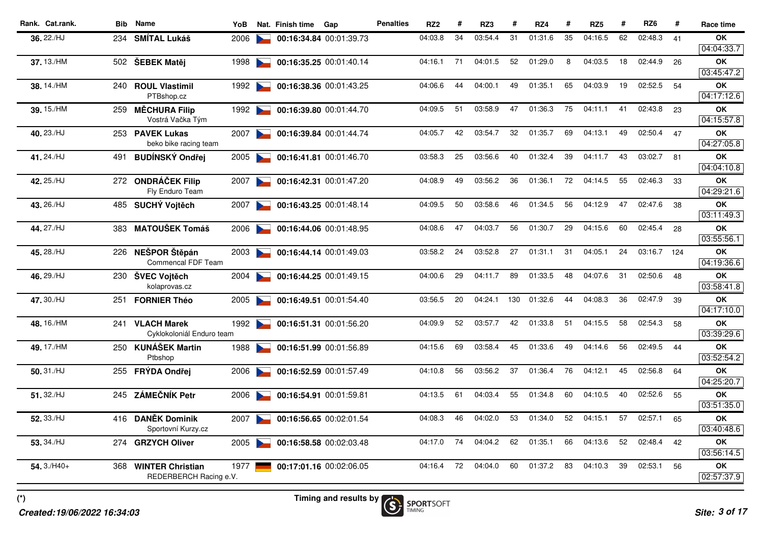| 31<br>35<br>36, 22./HJ<br>04:03.8<br>34<br>03:54.4<br>01:31.6<br>04:16.5<br>62<br>02:48.3<br>OK<br><b>SMÍTAL Lukáš</b><br>00:16:34.84 00:01:39.73<br>41<br>234<br>2006<br>04:04:33.7<br>52<br>01:29.0<br>37.13./HM<br>71<br>04:01.5<br>8<br>04:03.5<br>18<br>02:44.9<br>26<br>OK<br>502 ŠEBEK Matěj<br>1998<br>00:16:35.25 00:01:40.14<br>04:16.1<br>03:45:47.2<br>04:00.1<br>49<br>01:35.1<br>65<br>04:03.9<br>19<br>02:52.5<br>38.14./HM<br><b>ROUL Vlastimil</b><br>1992<br>04:06.6<br>44<br>54<br><b>OK</b><br>240<br>00:16:38.36 00:01:43.25<br>PTBshop.cz<br>03:58.9<br>47<br>01:36.3<br>75<br>02:43.8<br>04:09.5<br>51<br>04:11.1<br>41<br>OK<br>39.15./HM<br><b>MĚCHURA Filip</b><br>23<br>259<br>1992<br>00:16:39.80 00:01:44.70<br>Vostrá Vačka Tým<br>42<br>03:54.7<br>32<br>01:35.7<br>69<br>04:13.1<br>49<br>02:50.4<br>40.23./HJ<br>04:05.7<br>47<br>OK<br>253 PAVEK Lukas<br>2007<br>00:16:39.84 00:01:44.74<br>beko bike racing team<br>03:02.7<br>25<br>03:56.6<br>40<br>01:32.4<br>39<br>04:11.7<br>43<br>41.24./HJ<br><b>BUDÍNSKÝ Ondřej</b><br>03:58.3<br>81<br>OK<br>491<br>2005<br>00:16:41.81 00:01:46.70<br>$\sim$<br>03:56.2<br>72<br>55<br>42.25./HJ<br>272 ONDRÁČEK Filip<br>04:08.9<br>49<br>36<br>01:36.1<br>04:14.5<br>02:46.3<br>33<br>OK<br>2007<br>00:16:42.31 00:01:47.20<br>Fly Enduro Team<br>03:58.6<br>43.26./HJ<br>04:09.5<br>50<br>46<br>01:34.5<br>56<br>04:12.9<br>47<br>02:47.6<br>OK<br>485 SUCHÝ Vojtěch<br>38<br>2007<br>00:16:43.25 00:01:48.14<br><b>Contract Contract</b><br>03:11:49.3<br>44, 27./HJ<br><b>MATOUŠEK Tomáš</b><br>04:08.6<br>47<br>04:03.7<br>56<br>01:30.7<br>29<br>04:15.6<br>60<br>02:45.4<br>28<br>383<br>2006<br>00:16:44.06 00:01:48.95<br><b>OK</b><br>03:55:56.1<br>45.28./HJ<br>226 NEŠPOR Štěpán<br>03:58.2<br>24<br>03:52.8<br>27<br>01:31.1<br>31<br>04:05.1<br>24<br>03:16.7<br>OK<br>00:16:44.14 00:01:49.03<br>124<br>2003<br>Commencal FDF Team<br>29<br>89<br>01:33.5<br>48<br>04:07.6<br>31<br>02:50.6<br>46.29./HJ<br>04:00.6<br>04:11.7<br>48<br>OK<br>ŠVEC Vojtěch<br>2004<br>00:16:44.25 00:01:49.15<br>230<br>kolaprovas.cz<br>20<br>04:24.1<br>130<br>01:32.6<br>04:08.3<br>36<br>02:47.9<br>OK<br>47.30./HJ<br>03:56.5<br>44<br>00:16:49.51 00:01:54.40<br>39<br><b>FORNIER Théo</b><br>2005<br>251<br>42<br>02:54.3<br>241 VLACH Marek<br>04:09.9<br>52<br>03:57.7<br>01:33.8<br>51<br>04:15.5<br>58<br>OK<br>48.16./HM<br>1992<br>00:16:51.31 00:01:56.20<br>58<br>Cyklokoloniál Enduro team<br>69<br>03:58.4<br>45<br>01:33.6<br>49<br>04:14.6<br>56<br>02:49.5<br>49.17./HM<br>250 KUNÁŠEK Martin<br>04:15.6<br>OK<br>00:16:51.99 00:01:56.89<br>44<br>1988<br>Ptbshop<br>56<br>03:56.2<br>37<br>01:36.4<br>76<br>04:12.1<br>45<br>02:56.8<br>$50.31$ ./HJ<br>04:10.8<br><b>OK</b><br>255 FRÝDA Ondřej<br>00:16:52.59 00:01:57.49<br>64<br>2006<br><b>ZÁMEČNÍK Petr</b><br>02:52.6<br>51.32./HJ<br>61<br>04:03.4<br>55<br>01:34.8<br>60<br>04:10.5<br>40<br>OK<br>245<br>2006<br>00:16:54.91 00:01:59.81<br>04:13.5<br>55<br>46<br>04:02.0<br>53<br>01:34.0<br>52<br>04:15.1<br>57<br>02:57.1<br>OK<br>52.33./HJ<br>416 DANĚK Dominik<br>04:08.3<br>2007<br>00:16:56.65 00:02:01.54<br>65<br>$\sim$<br>Sportovní Kurzy.cz<br>74<br>62<br>52<br>04:04.2<br>01:35.1<br>66<br>04:13.6<br>02:48.4<br>53.34./HJ<br>04:17.0<br>42<br>ΟK<br>274<br><b>GRZYCH Oliver</b><br>2005<br>00:16:58.58 00:02:03.48<br>72<br>60<br>$54.3/H40+$<br>04:04.0<br>01:37.2<br>83<br>04:10.3<br>39<br>02:53.1<br>56<br>OK<br>04:16.4<br>368<br><b>WINTER Christian</b><br>1977<br>00:17:01.16 00:02:06.05<br>REDERBERCH Racing e.V. | Rank. Cat.rank. | <b>Bib</b> Name | YoB | Nat. Finish time | Gap | <b>Penalties</b> | RZ <sub>2</sub> | # | RZ3 | # | RZ4 | # | RZ <sub>5</sub> | # | RZ <sub>6</sub> | # | Race time  |
|------------------------------------------------------------------------------------------------------------------------------------------------------------------------------------------------------------------------------------------------------------------------------------------------------------------------------------------------------------------------------------------------------------------------------------------------------------------------------------------------------------------------------------------------------------------------------------------------------------------------------------------------------------------------------------------------------------------------------------------------------------------------------------------------------------------------------------------------------------------------------------------------------------------------------------------------------------------------------------------------------------------------------------------------------------------------------------------------------------------------------------------------------------------------------------------------------------------------------------------------------------------------------------------------------------------------------------------------------------------------------------------------------------------------------------------------------------------------------------------------------------------------------------------------------------------------------------------------------------------------------------------------------------------------------------------------------------------------------------------------------------------------------------------------------------------------------------------------------------------------------------------------------------------------------------------------------------------------------------------------------------------------------------------------------------------------------------------------------------------------------------------------------------------------------------------------------------------------------------------------------------------------------------------------------------------------------------------------------------------------------------------------------------------------------------------------------------------------------------------------------------------------------------------------------------------------------------------------------------------------------------------------------------------------------------------------------------------------------------------------------------------------------------------------------------------------------------------------------------------------------------------------------------------------------------------------------------------------------------------------------------------------------------------------------------------------------------------------------------------------------------------------------------------------------------------------------------------------------------------------------------------------------------------------------------------------------------------------------------------------------------------------------------------------------------------------------------------------------------------------------------------------------------------------------------------------------------------------------------|-----------------|-----------------|-----|------------------|-----|------------------|-----------------|---|-----|---|-----|---|-----------------|---|-----------------|---|------------|
|                                                                                                                                                                                                                                                                                                                                                                                                                                                                                                                                                                                                                                                                                                                                                                                                                                                                                                                                                                                                                                                                                                                                                                                                                                                                                                                                                                                                                                                                                                                                                                                                                                                                                                                                                                                                                                                                                                                                                                                                                                                                                                                                                                                                                                                                                                                                                                                                                                                                                                                                                                                                                                                                                                                                                                                                                                                                                                                                                                                                                                                                                                                                                                                                                                                                                                                                                                                                                                                                                                                                                                                                            |                 |                 |     |                  |     |                  |                 |   |     |   |     |   |                 |   |                 |   |            |
|                                                                                                                                                                                                                                                                                                                                                                                                                                                                                                                                                                                                                                                                                                                                                                                                                                                                                                                                                                                                                                                                                                                                                                                                                                                                                                                                                                                                                                                                                                                                                                                                                                                                                                                                                                                                                                                                                                                                                                                                                                                                                                                                                                                                                                                                                                                                                                                                                                                                                                                                                                                                                                                                                                                                                                                                                                                                                                                                                                                                                                                                                                                                                                                                                                                                                                                                                                                                                                                                                                                                                                                                            |                 |                 |     |                  |     |                  |                 |   |     |   |     |   |                 |   |                 |   |            |
|                                                                                                                                                                                                                                                                                                                                                                                                                                                                                                                                                                                                                                                                                                                                                                                                                                                                                                                                                                                                                                                                                                                                                                                                                                                                                                                                                                                                                                                                                                                                                                                                                                                                                                                                                                                                                                                                                                                                                                                                                                                                                                                                                                                                                                                                                                                                                                                                                                                                                                                                                                                                                                                                                                                                                                                                                                                                                                                                                                                                                                                                                                                                                                                                                                                                                                                                                                                                                                                                                                                                                                                                            |                 |                 |     |                  |     |                  |                 |   |     |   |     |   |                 |   |                 |   |            |
|                                                                                                                                                                                                                                                                                                                                                                                                                                                                                                                                                                                                                                                                                                                                                                                                                                                                                                                                                                                                                                                                                                                                                                                                                                                                                                                                                                                                                                                                                                                                                                                                                                                                                                                                                                                                                                                                                                                                                                                                                                                                                                                                                                                                                                                                                                                                                                                                                                                                                                                                                                                                                                                                                                                                                                                                                                                                                                                                                                                                                                                                                                                                                                                                                                                                                                                                                                                                                                                                                                                                                                                                            |                 |                 |     |                  |     |                  |                 |   |     |   |     |   |                 |   |                 |   |            |
|                                                                                                                                                                                                                                                                                                                                                                                                                                                                                                                                                                                                                                                                                                                                                                                                                                                                                                                                                                                                                                                                                                                                                                                                                                                                                                                                                                                                                                                                                                                                                                                                                                                                                                                                                                                                                                                                                                                                                                                                                                                                                                                                                                                                                                                                                                                                                                                                                                                                                                                                                                                                                                                                                                                                                                                                                                                                                                                                                                                                                                                                                                                                                                                                                                                                                                                                                                                                                                                                                                                                                                                                            |                 |                 |     |                  |     |                  |                 |   |     |   |     |   |                 |   |                 |   | 04:17:12.6 |
|                                                                                                                                                                                                                                                                                                                                                                                                                                                                                                                                                                                                                                                                                                                                                                                                                                                                                                                                                                                                                                                                                                                                                                                                                                                                                                                                                                                                                                                                                                                                                                                                                                                                                                                                                                                                                                                                                                                                                                                                                                                                                                                                                                                                                                                                                                                                                                                                                                                                                                                                                                                                                                                                                                                                                                                                                                                                                                                                                                                                                                                                                                                                                                                                                                                                                                                                                                                                                                                                                                                                                                                                            |                 |                 |     |                  |     |                  |                 |   |     |   |     |   |                 |   |                 |   | 04:15:57.8 |
|                                                                                                                                                                                                                                                                                                                                                                                                                                                                                                                                                                                                                                                                                                                                                                                                                                                                                                                                                                                                                                                                                                                                                                                                                                                                                                                                                                                                                                                                                                                                                                                                                                                                                                                                                                                                                                                                                                                                                                                                                                                                                                                                                                                                                                                                                                                                                                                                                                                                                                                                                                                                                                                                                                                                                                                                                                                                                                                                                                                                                                                                                                                                                                                                                                                                                                                                                                                                                                                                                                                                                                                                            |                 |                 |     |                  |     |                  |                 |   |     |   |     |   |                 |   |                 |   | 04:27:05.8 |
|                                                                                                                                                                                                                                                                                                                                                                                                                                                                                                                                                                                                                                                                                                                                                                                                                                                                                                                                                                                                                                                                                                                                                                                                                                                                                                                                                                                                                                                                                                                                                                                                                                                                                                                                                                                                                                                                                                                                                                                                                                                                                                                                                                                                                                                                                                                                                                                                                                                                                                                                                                                                                                                                                                                                                                                                                                                                                                                                                                                                                                                                                                                                                                                                                                                                                                                                                                                                                                                                                                                                                                                                            |                 |                 |     |                  |     |                  |                 |   |     |   |     |   |                 |   |                 |   | 04:04:10.8 |
|                                                                                                                                                                                                                                                                                                                                                                                                                                                                                                                                                                                                                                                                                                                                                                                                                                                                                                                                                                                                                                                                                                                                                                                                                                                                                                                                                                                                                                                                                                                                                                                                                                                                                                                                                                                                                                                                                                                                                                                                                                                                                                                                                                                                                                                                                                                                                                                                                                                                                                                                                                                                                                                                                                                                                                                                                                                                                                                                                                                                                                                                                                                                                                                                                                                                                                                                                                                                                                                                                                                                                                                                            |                 |                 |     |                  |     |                  |                 |   |     |   |     |   |                 |   |                 |   | 04:29:21.6 |
|                                                                                                                                                                                                                                                                                                                                                                                                                                                                                                                                                                                                                                                                                                                                                                                                                                                                                                                                                                                                                                                                                                                                                                                                                                                                                                                                                                                                                                                                                                                                                                                                                                                                                                                                                                                                                                                                                                                                                                                                                                                                                                                                                                                                                                                                                                                                                                                                                                                                                                                                                                                                                                                                                                                                                                                                                                                                                                                                                                                                                                                                                                                                                                                                                                                                                                                                                                                                                                                                                                                                                                                                            |                 |                 |     |                  |     |                  |                 |   |     |   |     |   |                 |   |                 |   |            |
|                                                                                                                                                                                                                                                                                                                                                                                                                                                                                                                                                                                                                                                                                                                                                                                                                                                                                                                                                                                                                                                                                                                                                                                                                                                                                                                                                                                                                                                                                                                                                                                                                                                                                                                                                                                                                                                                                                                                                                                                                                                                                                                                                                                                                                                                                                                                                                                                                                                                                                                                                                                                                                                                                                                                                                                                                                                                                                                                                                                                                                                                                                                                                                                                                                                                                                                                                                                                                                                                                                                                                                                                            |                 |                 |     |                  |     |                  |                 |   |     |   |     |   |                 |   |                 |   |            |
|                                                                                                                                                                                                                                                                                                                                                                                                                                                                                                                                                                                                                                                                                                                                                                                                                                                                                                                                                                                                                                                                                                                                                                                                                                                                                                                                                                                                                                                                                                                                                                                                                                                                                                                                                                                                                                                                                                                                                                                                                                                                                                                                                                                                                                                                                                                                                                                                                                                                                                                                                                                                                                                                                                                                                                                                                                                                                                                                                                                                                                                                                                                                                                                                                                                                                                                                                                                                                                                                                                                                                                                                            |                 |                 |     |                  |     |                  |                 |   |     |   |     |   |                 |   |                 |   | 04:19:36.6 |
|                                                                                                                                                                                                                                                                                                                                                                                                                                                                                                                                                                                                                                                                                                                                                                                                                                                                                                                                                                                                                                                                                                                                                                                                                                                                                                                                                                                                                                                                                                                                                                                                                                                                                                                                                                                                                                                                                                                                                                                                                                                                                                                                                                                                                                                                                                                                                                                                                                                                                                                                                                                                                                                                                                                                                                                                                                                                                                                                                                                                                                                                                                                                                                                                                                                                                                                                                                                                                                                                                                                                                                                                            |                 |                 |     |                  |     |                  |                 |   |     |   |     |   |                 |   |                 |   | 03:58:41.8 |
|                                                                                                                                                                                                                                                                                                                                                                                                                                                                                                                                                                                                                                                                                                                                                                                                                                                                                                                                                                                                                                                                                                                                                                                                                                                                                                                                                                                                                                                                                                                                                                                                                                                                                                                                                                                                                                                                                                                                                                                                                                                                                                                                                                                                                                                                                                                                                                                                                                                                                                                                                                                                                                                                                                                                                                                                                                                                                                                                                                                                                                                                                                                                                                                                                                                                                                                                                                                                                                                                                                                                                                                                            |                 |                 |     |                  |     |                  |                 |   |     |   |     |   |                 |   |                 |   | 04:17:10.0 |
|                                                                                                                                                                                                                                                                                                                                                                                                                                                                                                                                                                                                                                                                                                                                                                                                                                                                                                                                                                                                                                                                                                                                                                                                                                                                                                                                                                                                                                                                                                                                                                                                                                                                                                                                                                                                                                                                                                                                                                                                                                                                                                                                                                                                                                                                                                                                                                                                                                                                                                                                                                                                                                                                                                                                                                                                                                                                                                                                                                                                                                                                                                                                                                                                                                                                                                                                                                                                                                                                                                                                                                                                            |                 |                 |     |                  |     |                  |                 |   |     |   |     |   |                 |   |                 |   | 03:39:29.6 |
|                                                                                                                                                                                                                                                                                                                                                                                                                                                                                                                                                                                                                                                                                                                                                                                                                                                                                                                                                                                                                                                                                                                                                                                                                                                                                                                                                                                                                                                                                                                                                                                                                                                                                                                                                                                                                                                                                                                                                                                                                                                                                                                                                                                                                                                                                                                                                                                                                                                                                                                                                                                                                                                                                                                                                                                                                                                                                                                                                                                                                                                                                                                                                                                                                                                                                                                                                                                                                                                                                                                                                                                                            |                 |                 |     |                  |     |                  |                 |   |     |   |     |   |                 |   |                 |   | 03:52:54.2 |
|                                                                                                                                                                                                                                                                                                                                                                                                                                                                                                                                                                                                                                                                                                                                                                                                                                                                                                                                                                                                                                                                                                                                                                                                                                                                                                                                                                                                                                                                                                                                                                                                                                                                                                                                                                                                                                                                                                                                                                                                                                                                                                                                                                                                                                                                                                                                                                                                                                                                                                                                                                                                                                                                                                                                                                                                                                                                                                                                                                                                                                                                                                                                                                                                                                                                                                                                                                                                                                                                                                                                                                                                            |                 |                 |     |                  |     |                  |                 |   |     |   |     |   |                 |   |                 |   | 04:25:20.7 |
|                                                                                                                                                                                                                                                                                                                                                                                                                                                                                                                                                                                                                                                                                                                                                                                                                                                                                                                                                                                                                                                                                                                                                                                                                                                                                                                                                                                                                                                                                                                                                                                                                                                                                                                                                                                                                                                                                                                                                                                                                                                                                                                                                                                                                                                                                                                                                                                                                                                                                                                                                                                                                                                                                                                                                                                                                                                                                                                                                                                                                                                                                                                                                                                                                                                                                                                                                                                                                                                                                                                                                                                                            |                 |                 |     |                  |     |                  |                 |   |     |   |     |   |                 |   |                 |   | 03:51:35.0 |
|                                                                                                                                                                                                                                                                                                                                                                                                                                                                                                                                                                                                                                                                                                                                                                                                                                                                                                                                                                                                                                                                                                                                                                                                                                                                                                                                                                                                                                                                                                                                                                                                                                                                                                                                                                                                                                                                                                                                                                                                                                                                                                                                                                                                                                                                                                                                                                                                                                                                                                                                                                                                                                                                                                                                                                                                                                                                                                                                                                                                                                                                                                                                                                                                                                                                                                                                                                                                                                                                                                                                                                                                            |                 |                 |     |                  |     |                  |                 |   |     |   |     |   |                 |   |                 |   | 03:40:48.6 |
|                                                                                                                                                                                                                                                                                                                                                                                                                                                                                                                                                                                                                                                                                                                                                                                                                                                                                                                                                                                                                                                                                                                                                                                                                                                                                                                                                                                                                                                                                                                                                                                                                                                                                                                                                                                                                                                                                                                                                                                                                                                                                                                                                                                                                                                                                                                                                                                                                                                                                                                                                                                                                                                                                                                                                                                                                                                                                                                                                                                                                                                                                                                                                                                                                                                                                                                                                                                                                                                                                                                                                                                                            |                 |                 |     |                  |     |                  |                 |   |     |   |     |   |                 |   |                 |   | 03:56:14.5 |
|                                                                                                                                                                                                                                                                                                                                                                                                                                                                                                                                                                                                                                                                                                                                                                                                                                                                                                                                                                                                                                                                                                                                                                                                                                                                                                                                                                                                                                                                                                                                                                                                                                                                                                                                                                                                                                                                                                                                                                                                                                                                                                                                                                                                                                                                                                                                                                                                                                                                                                                                                                                                                                                                                                                                                                                                                                                                                                                                                                                                                                                                                                                                                                                                                                                                                                                                                                                                                                                                                                                                                                                                            |                 |                 |     |                  |     |                  |                 |   |     |   |     |   |                 |   |                 |   | 02:57:37.9 |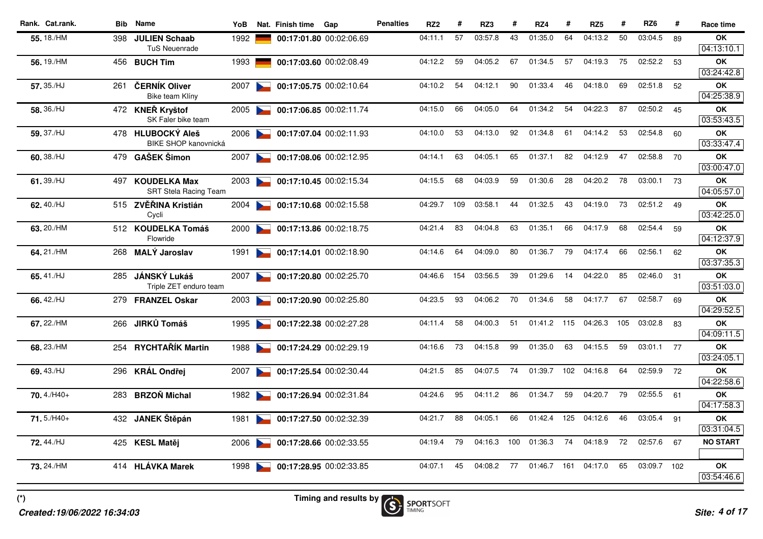| Rank. Cat.rank. |     | <b>Bib</b> Name                                      | YoB  |                                                                                                                                                                                                                                      | Nat. Finish time | Gap                     | <b>Penalties</b> | RZ <sub>2</sub> | #   | RZ3     | #   | RZ4         | #   | RZ <sub>5</sub> | #   | RZ <sub>6</sub> | #  | Race time                            |
|-----------------|-----|------------------------------------------------------|------|--------------------------------------------------------------------------------------------------------------------------------------------------------------------------------------------------------------------------------------|------------------|-------------------------|------------------|-----------------|-----|---------|-----|-------------|-----|-----------------|-----|-----------------|----|--------------------------------------|
| 55.18./HM       | 398 | <b>JULIEN Schaab</b><br><b>TuS Neuenrade</b>         | 1992 |                                                                                                                                                                                                                                      |                  | 00:17:01.80 00:02:06.69 |                  | 04:11.1         | 57  | 03:57.8 | 43  | 01:35.0     | 64  | 04:13.2         | 50  | 03:04.5         | 89 | OK<br>04:13:10.1                     |
| 56.19./HM       |     | 456 BUCH Tim                                         | 1993 |                                                                                                                                                                                                                                      |                  | 00:17:03.60 00:02:08.49 |                  | 04:12.2         | 59  | 04:05.2 | 67  | 01:34.5     | 57  | 04:19.3         | 75  | 02:52.2         | 53 | <b>OK</b>                            |
|                 |     |                                                      |      |                                                                                                                                                                                                                                      |                  |                         |                  |                 |     |         |     |             |     |                 |     |                 |    | 03:24:42.8                           |
| 57.35./HJ       | 261 | ČERNÍK Oliver<br>Bike team Klíny                     | 2007 |                                                                                                                                                                                                                                      |                  | 00:17:05.75 00:02:10.64 |                  | 04:10.2         | 54  | 04:12.1 | 90  | 01:33.4     | 46  | 04:18.0         | 69  | 02:51.8         | 52 | OK<br>04:25:38.9                     |
| 58.36./HJ       |     | 472 KNEŘ Kryštof<br>SK Faler bike team               |      | 2005                                                                                                                                                                                                                                 |                  | 00:17:06.85 00:02:11.74 |                  | 04:15.0         | 66  | 04:05.0 | 64  | 01:34.2     | 54  | 04:22.3         | 87  | 02:50.2         | 45 | OK<br>03:53:43.5                     |
| 59.37./HJ       |     | 478 HLUBOCKÝ Aleš<br><b>BIKE SHOP kanovnická</b>     |      | 2006                                                                                                                                                                                                                                 |                  | 00:17:07.04 00:02:11.93 |                  | 04:10.0         | 53  | 04:13.0 | 92  | 01:34.8     | 61  | 04:14.2         | 53  | 02:54.8         | 60 | OK<br>03:33:47.4                     |
| 60.38./HJ       |     | 479 GAŠEK Šimon                                      | 2007 | $\sim$                                                                                                                                                                                                                               |                  | 00:17:08.06 00:02:12.95 |                  | 04:14.1         | 63  | 04:05.1 | 65  | 01:37.1     | 82  | 04:12.9         | 47  | 02:58.8         | 70 | <b>OK</b><br>03:00:47.0              |
| 61.39./HJ       | 497 | <b>KOUDELKA Max</b>                                  | 2003 |                                                                                                                                                                                                                                      |                  | 00:17:10.45 00:02:15.34 |                  | 04:15.5         | 68  | 04:03.9 | 59  | 01:30.6     | 28  | 04:20.2         | 78  | 03:00.1         | 73 | OK<br>04:05:57.0                     |
| 62.40./HJ       |     | <b>SRT Stela Racing Team</b><br>515 ZVĚŘINA Kristián | 2004 | <b>Contract of the Contract of the Contract of the Contract of the Contract of the Contract of the Contract of the Contract of the Contract of the Contract of the Contract of the Contract of the Contract of the Contract of t</b> |                  | 00:17:10.68 00:02:15.58 |                  | 04:29.7         | 109 | 03:58.1 | 44  | 01:32.5     | 43  | 04:19.0         | 73  | 02:51.2 49      |    | <b>OK</b>                            |
| 63.20./HM       |     | Cycli<br>512 KOUDELKA Tomáš<br>Flowride              |      | 2000                                                                                                                                                                                                                                 |                  | 00:17:13.86 00:02:18.75 |                  | 04:21.4         | 83  | 04:04.8 | 63  | 01:35.1     | 66  | 04:17.9         | 68  | 02:54.4         | 59 | 03:42:25.0<br>OK<br>04:12:37.9       |
| 64.21./HM       |     | 268 MALÝ Jaroslav                                    | 1991 | <b>Contract Contract Contract</b>                                                                                                                                                                                                    |                  | 00:17:14.01 00:02:18.90 |                  | 04:14.6         | 64  | 04:09.0 | 80  | 01:36.7     | 79  | 04:17.4         | 66  | 02:56.1         | 62 | OK<br>03:37:35.3                     |
| 65.41./HJ       |     | 285 JÁNSKÝ Lukáš<br>Triple ZET enduro team           | 2007 | $\sim$                                                                                                                                                                                                                               |                  | 00:17:20.80 00:02:25.70 |                  | 04:46.6         | 154 | 03:56.5 | 39  | 01:29.6     | 14  | 04:22.0         | 85  | 02:46.0         | 31 | OK<br>03:51:03.0                     |
| 66.42./HJ       |     | 279 FRANZEL Oskar                                    | 2003 |                                                                                                                                                                                                                                      |                  | 00:17:20.90 00:02:25.80 |                  | 04:23.5         | 93  | 04:06.2 | 70  | 01:34.6     | 58  | 04:17.7         | 67  | 02:58.7         | 69 | <b>OK</b><br>04:29:52.5              |
| 67.22./HM       |     | 266 JIRKŮ Tomáš                                      |      | 1995                                                                                                                                                                                                                                 |                  | 00:17:22.38 00:02:27.28 |                  | 04:11.4         | 58  | 04:00.3 | 51  | 01:41.2 115 |     | 04:26.3         | 105 | 03:02.8         | 83 | <b>OK</b><br>04:09:11.5              |
| 68.23./HM       |     | 254 RYCHTAŘÍK Martin                                 | 1988 |                                                                                                                                                                                                                                      |                  | 00:17:24.29 00:02:29.19 |                  | 04:16.6         | 73  | 04:15.8 | 99  | 01:35.0     | 63  | 04:15.5         | 59  | 03:01.1 77      |    | OK<br>03:24:05.1                     |
| 69.43./HJ       |     | 296 KRÁL Ondřej                                      | 2007 | <b>Contract Contract Contract</b>                                                                                                                                                                                                    |                  | 00:17:25.54 00:02:30.44 |                  | 04:21.5         | 85  | 04:07.5 | 74  | 01:39.7     | 102 | 04:16.8         | 64  | 02:59.9         | 72 | <b>OK</b><br>04:22:58.6              |
| $70.4$ ./H40+   | 283 | <b>BRZOŇ Michal</b>                                  | 1982 |                                                                                                                                                                                                                                      |                  | 00:17:26.94 00:02:31.84 |                  | 04:24.6         | 95  | 04:11.2 | 86  | 01:34.7     | 59  | 04:20.7         | 79  | 02:55.5         | 61 | <b>OK</b><br>$\overline{04:17:58.3}$ |
| 71.5./H40+      |     | 432 JANEK Štěpán                                     | 1981 |                                                                                                                                                                                                                                      |                  | 00:17:27.50 00:02:32.39 |                  | 04:21.7         | 88  | 04:05.1 | 66  | 01:42.4     | 125 | 04:12.6         | 46  | 03:05.4         | 91 | OK<br>03:31:04.5                     |
| 72.44./HJ       |     | 425 KESL Matěj                                       |      | 2006                                                                                                                                                                                                                                 |                  | 00:17:28.66 00:02:33.55 |                  | 04:19.4         | 79  | 04:16.3 | 100 | 01:36.3     | 74  | 04:18.9         | 72  | 02:57.6         | 67 | <b>NO START</b>                      |
| 73.24./HM       |     | 414 HLÁVKA Marek                                     |      | 1998                                                                                                                                                                                                                                 |                  | 00:17:28.95 00:02:33.85 |                  | 04:07.1         | 45  | 04:08.2 | 77  | 01:46.7     | 161 | 04:17.0         | 65  | 03:09.7 102     |    | OK<br>03:54:46.6                     |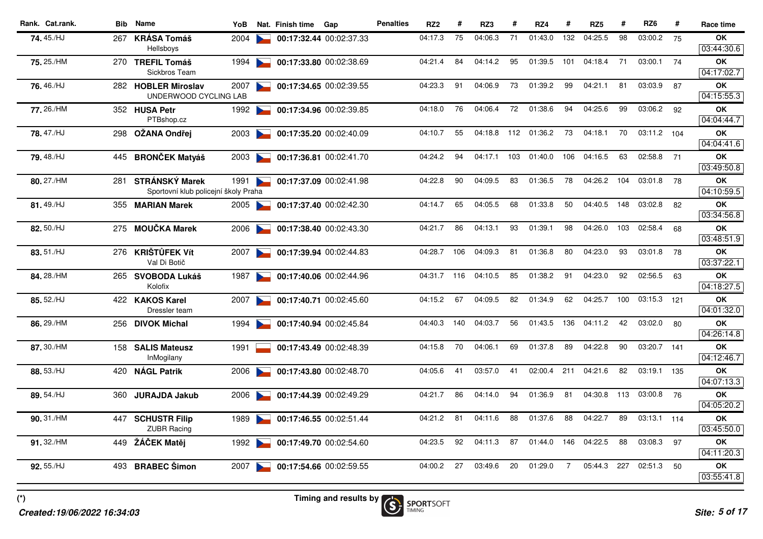| Rank. Cat.rank. | Bib | <b>Name</b>                                                   | YoB  |                                   | Nat. Finish time | Gap                     | <b>Penalties</b> | RZ <sub>2</sub> | #   | RZ3     | #   | RZ4         | #              | RZ <sub>5</sub> | #   | RZ <sub>6</sub> | #   | Race time               |
|-----------------|-----|---------------------------------------------------------------|------|-----------------------------------|------------------|-------------------------|------------------|-----------------|-----|---------|-----|-------------|----------------|-----------------|-----|-----------------|-----|-------------------------|
| 74.45./HJ       | 267 | <b>KRÁSA Tomáš</b><br>Hellsboys                               | 2004 |                                   |                  | 00:17:32.44 00:02:37.33 |                  | 04:17.3         | 75  | 04:06.3 | 71  | 01:43.0     | 132            | 04:25.5         | 98  | 03:00.2         | 75  | OK<br>03:44:30.6        |
| 75.25./HM       |     | 270 TREFIL Tomáš<br>Sickbros Team                             | 1994 |                                   |                  | 00:17:33.80 00:02:38.69 |                  | 04:21.4         | 84  | 04:14.2 | 95  | 01:39.5     | 101            | 04:18.4         | 71  | 03:00.1         | 74  | <b>OK</b><br>04:17:02.7 |
| 76.46./HJ       |     | 282 HOBLER Miroslav<br>UNDERWOOD CYCLING LAB                  | 2007 |                                   |                  | 00:17:34.65 00:02:39.55 |                  | 04:23.3         | 91  | 04:06.9 | 73  | 01:39.2     | 99             | 04:21.1         | 81  | 03:03.9         | 87  | OK<br>04:15:55.3        |
| 77, 26./HM      |     | 352 HUSA Petr<br>PTBshop.cz                                   | 1992 | $\sim$                            |                  | 00:17:34.96 00:02:39.85 |                  | 04:18.0         | 76  | 04:06.4 | 72  | 01:38.6     | 94             | 04:25.6         | 99  | 03:06.2         | 92  | OK<br>04:04:44.7        |
| 78.47./HJ       |     | 298 OŽANA Ondřej                                              | 2003 |                                   |                  | 00:17:35.20 00:02:40.09 |                  | 04:10.7         | 55  | 04:18.8 |     | 112 01:36.2 | 73             | 04:18.1         | 70  | 03:11.2 104     |     | <b>OK</b><br>04:04:41.6 |
| 79.48./HJ       |     | 445 BRONČEK Matyáš                                            | 2003 | <b>Contract Contract Contract</b> |                  | 00:17:36.81 00:02:41.70 |                  | 04:24.2         | 94  | 04:17.1 | 103 | 01:40.0     | 106            | 04:16.5         | 63  | 02:58.8         | 71  | OK<br>03:49:50.8        |
| 80.27./HM       | 281 | <b>STRÁNSKÝ Marek</b><br>Sportovní klub policejní školy Praha | 1991 | <b>Contract Contract Contract</b> |                  | 00:17:37.09 00:02:41.98 |                  | 04:22.8         | 90  | 04:09.5 | 83  | 01:36.5     | 78             | 04:26.2         | 104 | 03:01.8         | 78  | <b>OK</b><br>04:10:59.5 |
| 81.49./HJ       |     | 355 MARIAN Marek                                              | 2005 |                                   |                  | 00:17:37.40 00:02:42.30 |                  | 04:14.7         | 65  | 04:05.5 | 68  | 01:33.8     | 50             | 04:40.5         | 148 | 03:02.8         | 82  | OK<br>03:34:56.8        |
| 82.50./HJ       |     | 275 MOUČKA Marek                                              | 2006 |                                   |                  | 00:17:38.40 00:02:43.30 |                  | 04:21.7         | 86  | 04:13.1 | 93  | 01:39.1     | 98             | 04:26.0         | 103 | 02:58.4         | 68  | <b>OK</b><br>03:48:51.9 |
| 83.51./HJ       |     | 276 KRIŠTŮFEK Vít<br>Val Di Botič                             | 2007 |                                   |                  | 00:17:39.94 00:02:44.83 |                  | 04:28.7         | 106 | 04:09.3 | 81  | 01:36.8     | 80             | 04:23.0         | 93  | 03:01.8         | 78  | OK<br>03:37:22.1        |
| 84, 28./HM      |     | 265 SVOBODA Lukáš<br>Kolofix                                  | 1987 | $\sim$                            |                  | 00:17:40.06 00:02:44.96 |                  | 04:31.7         | 116 | 04:10.5 | 85  | 01:38.2     | 91             | 04:23.0         | 92  | 02:56.5         | 63  | <b>OK</b><br>04:18:27.5 |
| 85.52./HJ       |     | 422 KAKOS Karel<br>Dressler team                              | 2007 |                                   |                  | 00:17:40.71 00:02:45.60 |                  | 04:15.2         | 67  | 04:09.5 | 82  | 01:34.9     | 62             | 04:25.7         | 100 | 03:15.3         | 121 | <b>OK</b><br>04:01:32.0 |
| 86.29./HM       |     | 256 DIVOK Michal                                              | 1994 | $\sim$                            |                  | 00:17:40.94 00:02:45.84 |                  | 04:40.3         | 140 | 04:03.7 | 56  | 01:43.5 136 |                | 04:11.2         | 42  | 03:02.0         | 80  | OK<br>04:26:14.8        |
| 87.30./HM       |     | 158 SALIS Mateusz<br>InMogilany                               | 1991 |                                   |                  | 00:17:43.49 00:02:48.39 |                  | 04:15.8         | 70  | 04:06.1 | 69  | 01:37.8     | 89             | 04:22.8         | 90  | 03:20.7 141     |     | <b>OK</b><br>04:12:46.7 |
| 88.53./HJ       |     | 420 NÁGL Patrik                                               | 2006 |                                   |                  | 00:17:43.80 00:02:48.70 |                  | 04:05.6         | 41  | 03:57.0 | 41  | 02:00.4     | 211            | 04:21.6         | 82  | 03:19.1         | 135 | OK<br>04:07:13.3        |
| 89.54./HJ       | 360 | <b>JURAJDA Jakub</b>                                          | 2006 |                                   |                  | 00:17:44.39 00:02:49.29 |                  | 04:21.7         | 86  | 04:14.0 | 94  | 01:36.9     | 81             | 04:30.8         | 113 | 03:00.8         | 76  | <b>OK</b><br>04:05:20.2 |
| 90.31./HM       | 447 | <b>SCHUSTR Filip</b><br><b>ZUBR Racing</b>                    | 1989 |                                   |                  | 00:17:46.55 00:02:51.44 |                  | 04:21.2         | 81  | 04:11.6 | 88  | 01:37.6     | 88             | 04:22.7         | 89  | 03:13.1 114     |     | OK<br>03:45:50.0        |
| 91.32./HM       |     | 449 ŽÁČEK Matěj                                               | 1992 |                                   |                  | 00:17:49.70 00:02:54.60 |                  | 04:23.5         | 92  | 04:11.3 | 87  | 01:44.0     | 146            | 04:22.5         | 88  | 03:08.3         | 97  | OK<br>04:11:20.3        |
| 92.55./HJ       |     | 493 BRABEC Šimon                                              | 2007 |                                   |                  | 00:17:54.66 00:02:59.55 |                  | 04:00.2         | 27  | 03:49.6 | 20  | 01:29.0     | $\overline{7}$ | 05:44.3         | 227 | 02:51.3         | 50  | <b>OK</b><br>03:55:41.8 |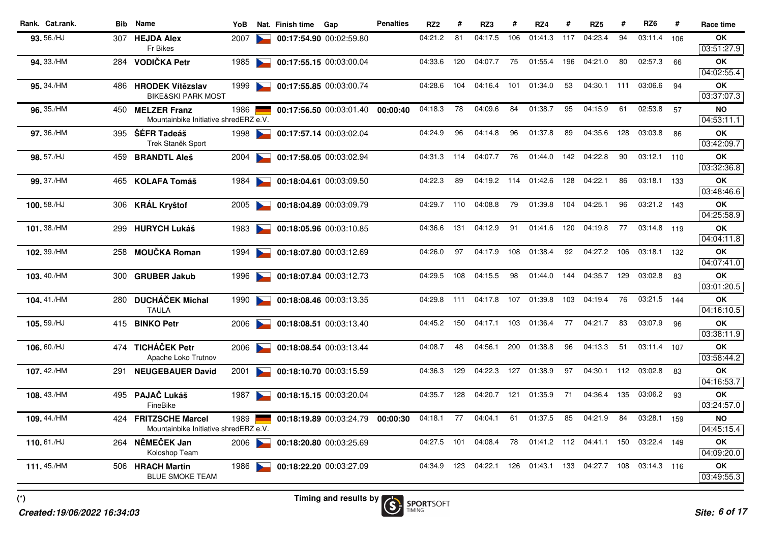| Rank. Cat.rank. | <b>Bib</b> | <b>Name</b>                                              | YoB  |                      | Nat. Finish time | Gap                     | <b>Penalties</b> | RZ <sub>2</sub> | #   | RZ3     | #   | RZ4         | #   | RZ <sub>5</sub> | #   | RZ <sub>6</sub> | #   | Race time               |
|-----------------|------------|----------------------------------------------------------|------|----------------------|------------------|-------------------------|------------------|-----------------|-----|---------|-----|-------------|-----|-----------------|-----|-----------------|-----|-------------------------|
| 93.56./HJ       | 307        | <b>HEJDA Alex</b>                                        | 2007 |                      |                  | 00:17:54.90 00:02:59.80 |                  | 04:21.2         | 81  | 04:17.5 | 106 | 01:41.3     | 117 | 04:23.4         | 94  | 03:11.4         | 106 | OK                      |
|                 |            | Fr Bikes                                                 |      |                      |                  |                         |                  |                 |     |         |     |             |     |                 |     |                 |     | 03:51:27.9              |
| 94.33./HM       | 284        | <b>VODIČKA Petr</b>                                      | 1985 |                      |                  | 00:17:55.15 00:03:00.04 |                  | 04:33.6         | 120 | 04:07.7 | 75  | 01:55.4     | 196 | 04:21.0         | 80  | 02:57.3         | 66  | <b>OK</b>               |
|                 |            |                                                          |      |                      |                  |                         |                  |                 |     |         |     |             |     |                 |     |                 |     | 04:02:55.4              |
| 95.34./HM       | 486.       | <b>HRODEK Vítězslav</b><br><b>BIKE&amp;SKI PARK MOST</b> | 1999 |                      |                  | 00:17:55.85 00:03:00.74 |                  | 04:28.6         | 104 | 04:16.4 | 101 | 01:34.0     | 53  | 04:30.1         | 111 | 03:06.6         | 94  | OK<br>03:37:07.3        |
| 96.35./HM       |            | 450 MELZER Franz                                         | 1986 |                      |                  |                         | 00:00:40         | 04:18.3         | 78  | 04:09.6 | 84  | 01:38.7     | 95  | 04:15.9         | 61  | 02:53.8         | 57  | NO                      |
|                 |            | Mountainbike Initiative shredERZ e.V.                    |      |                      |                  | 00:17:56.50 00:03:01.40 |                  |                 |     |         |     |             |     |                 |     |                 |     | 04:53:11.1              |
| 97.36./HM       |            | 395 ŠÉFR Tadeáš                                          | 1998 |                      |                  | 00:17:57.14 00:03:02.04 |                  | 04:24.9         | 96  | 04:14.8 | 96  | 01:37.8     | 89  | 04:35.6         | 128 | 03:03.8         | 86  | OK                      |
|                 |            | Trek Staněk Sport                                        |      |                      |                  |                         |                  |                 |     |         |     |             |     |                 |     |                 |     | 03:42:09.7              |
| 98.57./HJ       | 459        | <b>BRANDTL Aleš</b>                                      | 2004 | $\sim$               |                  | 00:17:58.05 00:03:02.94 |                  | 04:31.3         | 114 | 04:07.7 | 76  | 01:44.0     | 142 | 04:22.8         | 90  | 03:12.1         | 110 | <b>OK</b>               |
|                 |            |                                                          |      |                      |                  |                         |                  |                 |     |         |     |             |     |                 |     |                 |     | 03:32:36.8              |
| 99.37./HM       | 465.       | KOLAFA Tomáš                                             | 1984 |                      |                  | 00:18:04.61 00:03:09.50 |                  | 04:22.3         | 89  | 04:19.2 | 114 | 01:42.6     | 128 | 04:22.1         | 86  | 03:18.1         | 133 | OK                      |
|                 |            |                                                          |      |                      |                  |                         |                  |                 |     |         |     |             |     |                 |     |                 |     | 03:48:46.6              |
| 100.58./HJ      | 306        | <b>KRÁL Kryštof</b>                                      | 2005 | <b>Participation</b> |                  | 00:18:04.89 00:03:09.79 |                  | 04:29.7         | 110 | 04:08.8 | 79  | 01:39.8     | 104 | 04:25.1         | 96  | 03:21.2 143     |     | <b>OK</b><br>04:25:58.9 |
|                 |            |                                                          |      |                      |                  |                         |                  | 04:36.6         | 131 | 04:12.9 | 91  | 01:41.6 120 |     | 04:19.8         | 77  | 03:14.8 119     |     |                         |
| 101.38./HM      |            | 299 HURYCH Lukáš                                         | 1983 |                      |                  | 00:18:05.96 00:03:10.85 |                  |                 |     |         |     |             |     |                 |     |                 |     | <b>OK</b><br>04:04:11.8 |
| 102.39./HM      |            | 258 MOUČKA Roman                                         | 1994 |                      |                  | 00:18:07.80 00:03:12.69 |                  | 04:26.0         | 97  | 04:17.9 | 108 | 01:38.4     | 92  | 04:27.2         | 106 | 03:18.1         | 132 | <b>OK</b>               |
|                 |            |                                                          |      |                      |                  |                         |                  |                 |     |         |     |             |     |                 |     |                 |     | 04:07:41.0              |
| 103.40./HM      | 300        | <b>GRUBER Jakub</b>                                      | 1996 |                      |                  | 00:18:07.84 00:03:12.73 |                  | 04:29.5         | 108 | 04:15.5 | 98  | 01:44.0     | 144 | 04:35.7         | 129 | 03:02.8         | 83  | <b>OK</b>               |
|                 |            |                                                          |      |                      |                  |                         |                  |                 |     |         |     |             |     |                 |     |                 |     | 03:01:20.5              |
| 104.41./HM      | 280        | <b>DUCHÁČEK Michal</b>                                   | 1990 |                      |                  | 00:18:08.46 00:03:13.35 |                  | 04:29.8         | 111 | 04:17.8 | 107 | 01:39.8     | 103 | 04:19.4         | 76  | 03:21.5 144     |     | OK                      |
|                 |            | <b>TAULA</b>                                             |      |                      |                  |                         |                  |                 |     |         |     |             |     |                 |     |                 |     | 04:16:10.5              |
| 105.59./HJ      |            | 415 BINKO Petr                                           | 2006 | $\sim$               |                  | 00:18:08.51 00:03:13.40 |                  | 04:45.2         | 150 | 04:17.1 | 103 | 01:36.4     | 77  | 04:21.7         | 83  | 03:07.9         | 96  | OK                      |
|                 |            |                                                          |      |                      |                  |                         |                  |                 |     |         |     |             |     |                 |     |                 |     | 03:38:11.9              |
| 106.60./HJ      |            | 474 TICHÁČEK Petr<br>Apache Loko Trutnov                 | 2006 |                      |                  | 00:18:08.54 00:03:13.44 |                  | 04:08.7         | 48  | 04:56.1 | 200 | 01:38.8     | 96  | 04:13.3         | 51  | 03:11.4 107     |     | OK<br>03:58:44.2        |
| 107.42./HM      | 291        | <b>NEUGEBAUER David</b>                                  | 2001 |                      |                  | 00:18:10.70 00:03:15.59 |                  | 04:36.3         | 129 | 04:22.3 | 127 | 01:38.9     | 97  | 04:30.1         | 112 | 03:02.8         | 83  | ΟK                      |
|                 |            |                                                          |      |                      |                  |                         |                  |                 |     |         |     |             |     |                 |     |                 |     | 04:16:53.7              |
| 108.43./HM      | 495        | PAJAČ Lukáš                                              | 1987 |                      |                  | 00:18:15.15 00:03:20.04 |                  | 04:35.7         | 128 | 04:20.7 | 121 | 01:35.9     | 71  | 04:36.4         | 135 | 03:06.2         | 93  | ΟK                      |
|                 |            | FineBike                                                 |      |                      |                  |                         |                  |                 |     |         |     |             |     |                 |     |                 |     | 03:24:57.0              |
| 109.44./HM      | 424 -      | <b>FRITZSCHE Marcel</b>                                  | 1989 |                      |                  | 00:18:19.89 00:03:24.79 | 00:00:30         | 04:18.1         | 77  | 04:04.1 | 61  | 01:37.5     | 85  | 04:21.9         | 84  | 03:28.1         | 159 | <b>NO</b>               |
|                 |            | Mountainbike Initiative shredERZ e.V.                    |      |                      |                  |                         |                  |                 |     |         |     |             |     |                 |     |                 |     | 04:45:15.4              |
| 110.61./HJ      |            | 264 NĚMEČEK Jan                                          | 2006 |                      |                  | 00:18:20.80 00:03:25.69 |                  | 04:27.5         | 101 | 04:08.4 | 78  | 01:41.2 112 |     | 04:41.1         |     | 150 03:22.4 149 |     | OK                      |
|                 |            | Koloshop Team                                            |      |                      |                  |                         |                  |                 |     |         |     |             |     |                 |     |                 |     | 04:09:20.0              |
| 111.45./HM      |            | 506 HRACH Martin                                         | 1986 |                      |                  | 00:18:22.20 00:03:27.09 |                  | 04:34.9         | 123 | 04:22.1 | 126 | 01:43.1     | 133 | 04:27.7         | 108 | 03:14.3 116     |     | ΟK                      |
|                 |            | <b>BLUE SMOKE TEAM</b>                                   |      |                      |                  |                         |                  |                 |     |         |     |             |     |                 |     |                 |     | 03:49:55.3              |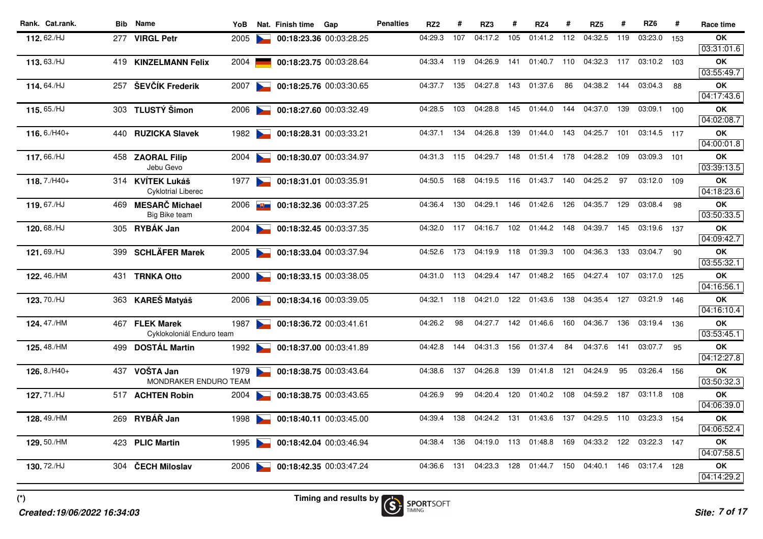| Rank. Cat.rank.    |      | <b>Bib</b> Name           | YoB  |                      | Nat. Finish time | Gap                     | <b>Penalties</b> | RZ <sub>2</sub> | #   | RZ3     | #   | RZ4         | #   | RZ <sub>5</sub> | #   | RZ <sub>6</sub> | #    | Race time               |
|--------------------|------|---------------------------|------|----------------------|------------------|-------------------------|------------------|-----------------|-----|---------|-----|-------------|-----|-----------------|-----|-----------------|------|-------------------------|
| 112.62./HJ         | 277  | <b>VIRGL Petr</b>         | 2005 |                      |                  | 00:18:23.36 00:03:28.25 |                  | 04:29.3         | 107 | 04:17.2 | 105 | 01:41.2     | 112 | 04:32.5         | 119 | 03:23.0         | 153  | OK                      |
|                    |      |                           |      |                      |                  |                         |                  |                 |     |         |     |             |     |                 |     |                 |      | 03:31:01.6              |
| 113.63./HJ         |      | 419 KINZELMANN Felix      | 2004 |                      |                  | 00:18:23.75 00:03:28.64 |                  | 04:33.4         | 119 | 04:26.9 | 141 | 01:40.7 110 |     | 04:32.3         | 117 | 03:10.2 103     |      | <b>OK</b>               |
|                    |      |                           |      |                      |                  |                         |                  |                 |     |         |     |             |     |                 |     |                 |      | 03:55:49.7              |
| 114.64./HJ         |      | 257 ŠEVČÍK Frederik       | 2007 |                      |                  | 00:18:25.76 00:03:30.65 |                  | 04:37.7         | 135 | 04:27.8 | 143 | 01:37.6     | 86  | 04:38.2         | 144 | 03:04.3         | 88   | OK<br>04:17:43.6        |
| 115.65./HJ         |      | 303 TLUSTÝ Šimon          | 2006 | $\sim$               |                  |                         |                  | 04:28.5         | 103 | 04:28.8 | 145 | 01:44.0     | 144 | 04:37.0         | 139 | 03:09.1 100     |      | OK                      |
|                    |      |                           |      |                      |                  | 00:18:27.60 00:03:32.49 |                  |                 |     |         |     |             |     |                 |     |                 |      | 04:02:08.7              |
| $116.6$ /H40+      |      | 440 RUZICKA Slavek        | 1982 |                      |                  | 00:18:28.31 00:03:33.21 |                  | 04:37.1         | 134 | 04:26.8 | 139 | 01:44.0     | 143 | 04:25.7         | 101 | 03:14.5 117     |      | <b>OK</b>               |
|                    |      |                           |      |                      |                  |                         |                  |                 |     |         |     |             |     |                 |     |                 |      | 04:00:01.8              |
| 117,66./HJ         | 458  | <b>ZAORAL Filip</b>       | 2004 |                      |                  | 00:18:30.07 00:03:34.97 |                  | 04:31.3         | 115 | 04:29.7 | 148 | 01:51.4     | 178 | 04:28.2         | 109 | 03:09.3         | 101  | OK                      |
|                    |      | Jebu Gevo                 |      |                      |                  |                         |                  |                 |     |         |     |             |     |                 |     |                 |      | 03:39:13.5              |
| 118.7./H40+        |      | 314 KVÍTEK Lukáš          | 1977 |                      |                  | 00:18:31.01 00:03:35.91 |                  | 04:50.5         | 168 | 04:19.5 | 116 | 01:43.7     | 140 | 04:25.2         | 97  | 03:12.0 109     |      | ΟK                      |
|                    |      | <b>Cyklotrial Liberec</b> |      |                      |                  |                         |                  |                 |     |         |     |             |     |                 |     |                 |      | 04:18:23.6              |
| 119.67./HJ         | 469. | <b>MESARČ Michael</b>     | 2006 | <b>【制画】</b>          |                  | 00:18:32.36 00:03:37.25 |                  | 04:36.4         | 130 | 04:29.1 | 146 | 01:42.6     | 126 | 04:35.7         | 129 | 03:08.4         | 98   | OK                      |
|                    |      | Big Bike team             |      |                      |                  |                         |                  |                 |     |         |     |             |     |                 |     |                 |      | 03:50:33.5              |
| 120.68./HJ         |      | 305 RYBÁK Jan             | 2004 |                      |                  | 00:18:32.45 00:03:37.35 |                  | 04:32.0         | 117 | 04:16.7 | 102 | 01:44.2 148 |     | 04:39.7         | 145 | 03:19.6 137     |      | OK                      |
|                    |      |                           |      |                      |                  |                         |                  |                 |     |         |     |             |     |                 |     |                 |      | 04:09:42.7              |
| 121.69./HJ         |      | 399 SCHLÄFER Marek        | 2005 |                      |                  | 00:18:33.04 00:03:37.94 |                  | 04:52.6         | 173 | 04:19.9 | 118 | 01:39.3     | 100 | 04:36.3         | 133 | 03:04.7         | - 90 | OK<br>03:55:32.1        |
| 122.46./HM         |      |                           |      | $\sim$               |                  | 00:18:33.15 00:03:38.05 |                  | 04:31.0         | 113 | 04:29.4 | 147 | 01:48.2 165 |     | 04:27.4         | 107 | 03:17.0 125     |      | OK                      |
|                    |      | 431 TRNKA Otto            | 2000 |                      |                  |                         |                  |                 |     |         |     |             |     |                 |     |                 |      | 04:16:56.1              |
| 123.70./HJ         |      | 363 KAREŠ Matyáš          | 2006 |                      |                  | 00:18:34.16 00:03:39.05 |                  | 04:32.1         | 118 | 04:21.0 | 122 | 01:43.6     | 138 | 04:35.4         | 127 | 03:21.9 146     |      | ΟK                      |
|                    |      |                           |      |                      |                  |                         |                  |                 |     |         |     |             |     |                 |     |                 |      | 04:16:10.4              |
| 124.47./HM         |      | 467 FLEK Marek            | 1987 | <b>Participation</b> |                  | 00:18:36.72 00:03:41.61 |                  | 04:26.2         | 98  | 04:27.7 |     | 142 01:46.6 | 160 | 04:36.7         | 136 | 03:19.4 136     |      | OK                      |
|                    |      | Cyklokoloniál Enduro team |      |                      |                  |                         |                  |                 |     |         |     |             |     |                 |     |                 |      | 03:53:45.1              |
| <b>125.</b> 48./HM |      | 499 DOSTÁL Martin         | 1992 |                      |                  | 00:18:37.00 00:03:41.89 |                  | 04:42.8         | 144 | 04:31.3 | 156 | 01:37.4     | 84  | 04:37.6         | 141 | 03:07.7         | 95   | <b>OK</b>               |
|                    |      |                           |      |                      |                  |                         |                  |                 |     |         |     |             |     |                 |     |                 |      | 04:12:27.8              |
| $126.8$ /H40+      |      | 437 VOŠTA Jan             | 1979 |                      |                  | 00:18:38.75 00:03:43.64 |                  | 04:38.6         | 137 | 04:26.8 | 139 | 01:41.8     | 121 | 04:24.9         | 95  | 03:26.4 156     |      | <b>OK</b>               |
|                    |      | MONDRAKER ENDURO TEAM     |      |                      |                  |                         |                  |                 |     |         |     |             |     |                 |     |                 |      | 03:50:32.3              |
| 127.71./HJ         |      | 517 ACHTEN Robin          | 2004 |                      |                  | 00:18:38.75 00:03:43.65 |                  | 04:26.9         | 99  | 04:20.4 | 120 | 01:40.2     | 108 | 04:59.2         | 187 | 03:11.8 108     |      | <b>OK</b>               |
|                    |      |                           |      |                      |                  |                         |                  |                 |     |         |     |             |     |                 |     |                 |      | 04:06:39.0              |
| 128.49./HM         |      | 269 RYBÁŘ Jan             | 1998 |                      |                  | 00:18:40.11 00:03:45.00 |                  | 04:39.4         | 138 | 04:24.2 | 131 | 01:43.6     | 137 | 04:29.5         | 110 | 03:23.3 154     |      | <b>OK</b><br>04:06:52.4 |
|                    |      |                           |      |                      |                  |                         |                  | 04:38.4         | 136 | 04:19.0 |     | 113 01:48.8 | 169 | 04:33.2         |     | 122 03:22.3 147 |      | OK                      |
| <b>129.</b> 50./HM |      | 423 PLIC Martin           | 1995 | $\sim$               |                  | 00:18:42.04 00:03:46.94 |                  |                 |     |         |     |             |     |                 |     |                 |      | 04:07:58.5              |
| 130.72./HJ         | 304  | ČECH Miloslav             | 2006 |                      |                  | 00:18:42.35 00:03:47.24 |                  | 04:36.6         | 131 | 04:23.3 | 128 | 01:44.7     | 150 | 04:40.1         | 146 | 03:17.4 128     |      | ΟK                      |
|                    |      |                           |      |                      |                  |                         |                  |                 |     |         |     |             |     |                 |     |                 |      | 04:14:29.2              |
|                    |      |                           |      |                      |                  |                         |                  |                 |     |         |     |             |     |                 |     |                 |      |                         |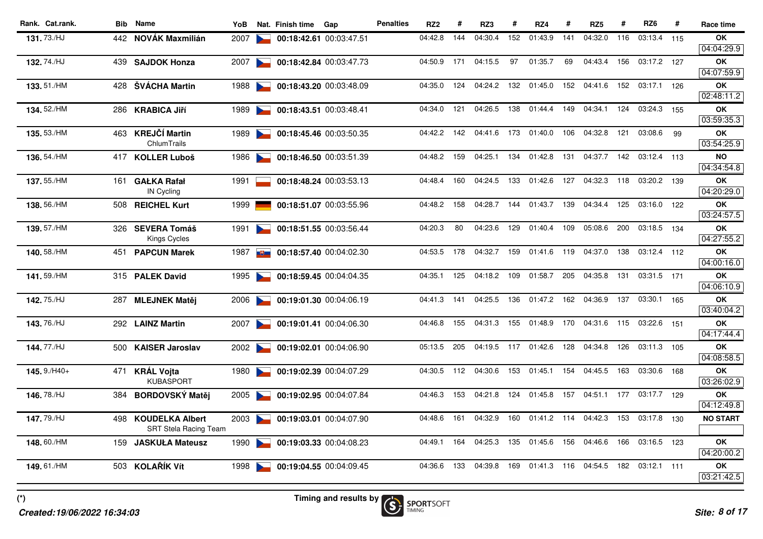| Rank. Cat.rank. |      | <b>Bib</b> Name                                        | YoB  |        | Nat. Finish time | Gap                     | <b>Penalties</b> | RZ <sub>2</sub> | #   | RZ3     | #   | RZ4         | #   | RZ <sub>5</sub> | #   | RZ <sub>6</sub> | #   | Race time        |
|-----------------|------|--------------------------------------------------------|------|--------|------------------|-------------------------|------------------|-----------------|-----|---------|-----|-------------|-----|-----------------|-----|-----------------|-----|------------------|
| 131.73./HJ      |      | 442 NOVÁK Maxmilián                                    | 2007 |        |                  | 00:18:42.61 00:03:47.51 |                  | 04:42.8         | 144 | 04:30.4 | 152 | 01:43.9     | 141 | 04:32.0         | 116 | 03:13.4 115     |     | OK               |
|                 |      |                                                        |      |        |                  |                         |                  |                 |     |         |     |             |     |                 |     |                 |     | 04:04:29.9       |
| 132.74./HJ      |      | 439 SAJDOK Honza                                       | 2007 | $\sim$ |                  | 00:18:42.84 00:03:47.73 |                  | 04:50.9         | 171 | 04:15.5 | 97  | 01:35.7     | 69  | 04:43.4         | 156 | 03:17.2 127     |     | OK               |
|                 |      |                                                        |      |        |                  |                         |                  |                 |     |         |     |             |     |                 |     |                 |     | 04:07:59.9       |
| 133.51./HM      | 428  | ŠVÁCHA Martin                                          | 1988 |        |                  | 00:18:43.20 00:03:48.09 |                  | 04:35.0         | 124 | 04:24.2 | 132 | 01:45.0     | 152 | 04:41.6         | 152 | 03:17.1         | 126 | ΟK               |
|                 |      |                                                        |      |        |                  |                         |                  |                 |     |         |     |             |     |                 |     |                 |     | 02:48:11.2       |
| 134.52./HM      |      | 286 KRABICA Jiří                                       | 1989 | $\sim$ |                  | 00:18:43.51 00:03:48.41 |                  | 04:34.0         | 121 | 04:26.5 | 138 | 01:44.4     | 149 | 04:34.1         | 124 | 03:24.3         | 155 | OK<br>03:59:35.3 |
| 135.53./HM      |      | 463 KREJČÍ Martin                                      | 1989 |        |                  | 00:18:45.46 00:03:50.35 |                  | 04:42.2         | 142 | 04:41.6 | 173 | 01:40.0     | 106 | 04:32.8         | 121 | 03:08.6         | 99  | <b>OK</b>        |
|                 |      | ChlumTrails                                            |      |        |                  |                         |                  |                 |     |         |     |             |     |                 |     |                 |     | 03:54:25.9       |
| 136.54./HM      |      | 417 KOLLER Luboš                                       | 1986 |        |                  | 00:18:46.50 00:03:51.39 |                  | 04:48.2         | 159 | 04:25.1 | 134 | 01:42.8     | 131 | 04:37.7         | 142 | 03:12.4 113     |     | <b>NO</b>        |
|                 |      |                                                        |      |        |                  |                         |                  |                 |     |         |     |             |     |                 |     |                 |     | 04:34:54.8       |
| 137.55./HM      | 161  | <b>GAŁKA Rafał</b>                                     | 1991 |        |                  | 00:18:48.24 00:03:53.13 |                  | 04:48.4         | 160 | 04:24.5 | 133 | 01:42.6     | 127 | 04:32.3         | 118 | 03:20.2 139     |     | <b>OK</b>        |
|                 |      | IN Cycling                                             |      |        |                  |                         |                  |                 |     |         |     |             |     |                 |     |                 |     | 04:20:29.0       |
| 138.56./HM      | 508  | <b>REICHEL Kurt</b>                                    | 1999 |        |                  | 00:18:51.07 00:03:55.96 |                  | 04:48.2         | 158 | 04:28.7 | 144 | 01:43.7     | 139 | 04:34.4         | 125 | 03:16.0         | 122 | OK               |
|                 |      |                                                        |      |        |                  |                         |                  |                 |     |         |     |             |     |                 |     |                 |     | 03:24:57.5       |
| 139.57./HM      | 326  | <b>SEVERA Tomáš</b>                                    | 1991 | $\sim$ |                  | 00:18:51.55 00:03:56.44 |                  | 04:20.3         | 80  | 04:23.6 | 129 | 01:40.4     | 109 | 05:08.6         | 200 | 03:18.5 134     |     | OK               |
|                 |      | Kings Cycles                                           |      |        |                  |                         |                  |                 |     |         |     |             |     |                 |     |                 |     | 04:27:55.2       |
| 140.58./HM      | 451  | <b>PAPCUN Marek</b>                                    | 1987 | 西      |                  | 00:18:57.40 00:04:02.30 |                  | 04:53.5         | 178 | 04:32.7 | 159 | 01:41.6 119 |     | 04:37.0         | 138 | 03:12.4 112     |     | ΟK               |
|                 |      |                                                        |      |        |                  |                         |                  |                 |     |         |     |             |     |                 |     |                 |     | 04:00:16.0       |
| 141.59./HM      |      | 315 PALEK David                                        | 1995 | $\sim$ |                  | 00:18:59.45 00:04:04.35 |                  | 04:35.1         | 125 | 04:18.2 | 109 | 01:58.7     | 205 | 04:35.8         | 131 | 03:31.5 171     |     | OK<br>04:06:10.9 |
| 142.75./HJ      |      | 287 MLEJNEK Matěj                                      | 2006 |        |                  | 00:19:01.30 00:04:06.19 |                  | 04:41.3         | 141 | 04:25.5 | 136 | 01:47.2     | 162 | 04:36.9         | 137 | 03:30.1 165     |     | <b>OK</b>        |
|                 |      |                                                        |      |        |                  |                         |                  |                 |     |         |     |             |     |                 |     |                 |     | 03:40:04.2       |
| 143.76./HJ      |      | 292 LAINZ Martin                                       | 2007 |        |                  | 00:19:01.41 00:04:06.30 |                  | 04:46.8         | 155 | 04:31.3 | 155 | 01:48.9     | 170 | 04:31.6         | 115 | 03:22.6         | 151 | <b>OK</b>        |
|                 |      |                                                        |      |        |                  |                         |                  |                 |     |         |     |             |     |                 |     |                 |     | 04:17:44.4       |
| 144.77./HJ      |      | 500 KAISER Jaroslav                                    | 2002 | $\sim$ |                  | 00:19:02.01 00:04:06.90 |                  | 05:13.5         | 205 | 04:19.5 |     | 117 01:42.6 | 128 | 04:34.8         | 126 | 03:11.3 105     |     | OK               |
|                 |      |                                                        |      |        |                  |                         |                  |                 |     |         |     |             |     |                 |     |                 |     | 04:08:58.5       |
| $145.9$ /H40+   |      | 471 KRÁL Vojta                                         | 1980 |        |                  | 00:19:02.39 00:04:07.29 |                  | 04:30.5         | 112 | 04:30.6 | 153 | 01:45.1     | 154 | 04:45.5         | 163 | 03:30.6 168     |     | OK               |
|                 |      | <b>KUBASPORT</b>                                       |      |        |                  |                         |                  |                 |     |         |     |             |     |                 |     |                 |     | 03:26:02.9       |
| 146.78./HJ      | 384  | <b>BORDOVSKÝ Matěj</b>                                 | 2005 | $\sim$ |                  | 00:19:02.95 00:04:07.84 |                  | 04:46.3         | 153 | 04:21.8 | 124 | 01:45.8     | 157 | 04:51.1         | 177 | 03:17.7 129     |     | OK               |
|                 |      |                                                        |      |        |                  |                         |                  |                 |     |         |     |             |     |                 |     |                 |     | 04:12:49.8       |
| 147.79./HJ      | 498. | <b>KOUDELKA Albert</b><br><b>SRT Stela Racing Team</b> | 2003 |        |                  | 00:19:03.01 00:04:07.90 |                  | 04:48.6         | 161 | 04:32.9 | 160 | 01:41.2     | 114 | 04:42.3         | 153 | 03:17.8 130     |     | <b>NO START</b>  |
| 148.60./HM      | 159  | <b>JASKUŁA Mateusz</b>                                 | 1990 | $\sim$ |                  | 00:19:03.33 00:04:08.23 |                  | 04:49.1         | 164 | 04:25.3 | 135 | 01:45.6     | 156 | 04:46.6         | 166 | 03:16.5 123     |     | <b>OK</b>        |
|                 |      |                                                        |      |        |                  |                         |                  |                 |     |         |     |             |     |                 |     |                 |     | 04:20:00.2       |
| 149.61./HM      |      | 503 KOLAŘÍK Vít                                        | 1998 |        |                  | 00:19:04.55 00:04:09.45 |                  | 04:36.6         | 133 | 04:39.8 | 169 | 01:41.3 116 |     | 04:54.5         | 182 | 03:12.1 111     |     | OK               |
|                 |      |                                                        |      |        |                  |                         |                  |                 |     |         |     |             |     |                 |     |                 |     | 03:21:42.5       |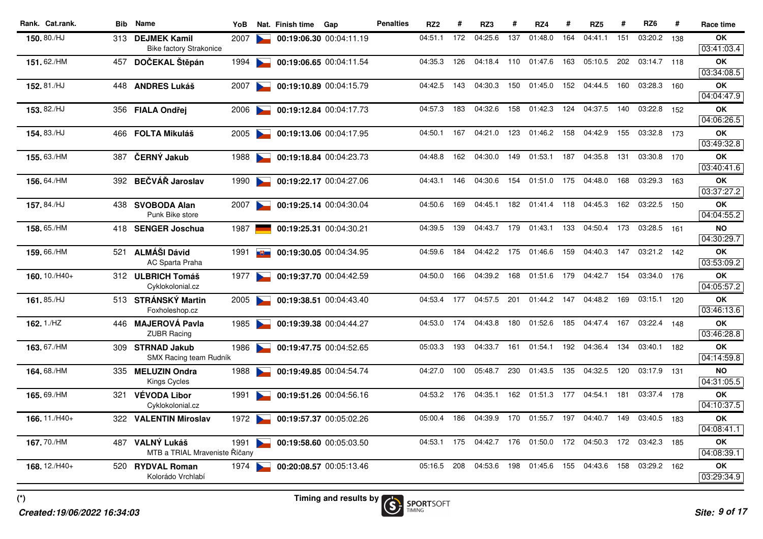| Rank. Cat.rank. | Bib  | <b>Name</b>                             | YoB  |                                   | Nat. Finish time | Gap                     | <b>Penalties</b> | RZ <sub>2</sub> | #   | RZ3     | #   | RZ4         | #   | RZ <sub>5</sub> | #   | RZ <sub>6</sub> | #   | Race time        |
|-----------------|------|-----------------------------------------|------|-----------------------------------|------------------|-------------------------|------------------|-----------------|-----|---------|-----|-------------|-----|-----------------|-----|-----------------|-----|------------------|
| 150.80./HJ      |      | 313 DEJMEK Kamil                        | 2007 |                                   |                  | 00:19:06.30 00:04:11.19 |                  | 04:51.1         | 172 | 04:25.6 | 137 | 01:48.0     | 164 | 04:41.1         | 151 | 03:20.2         | 138 | OK               |
|                 |      | <b>Bike factory Strakonice</b>          |      |                                   |                  |                         |                  |                 |     |         |     |             |     |                 |     |                 |     | 03:41:03.4       |
| 151.62./HM      | 457  | DOČEKAL Štěpán                          | 1994 |                                   |                  | 00:19:06.65 00:04:11.54 |                  | 04:35.3         | 126 | 04:18.4 | 110 | 01:47.6     | 163 | 05:10.5         | 202 | 03:14.7 118     |     | OK               |
|                 |      |                                         |      |                                   |                  |                         |                  |                 |     |         |     |             |     |                 |     |                 |     | 03:34:08.5       |
| 152.81./HJ      | 448  | <b>ANDRES Lukáš</b>                     | 2007 |                                   |                  | 00:19:10.89 00:04:15.79 |                  | 04:42.5         | 143 | 04:30.3 | 150 | 01:45.0     | 152 | 04:44.5         | 160 | 03:28.3         | 160 | OK               |
|                 |      |                                         |      |                                   |                  |                         |                  |                 |     |         |     |             |     |                 |     |                 |     | 04:04:47.9       |
| 153.82./HJ      |      | 356 FIALA Ondřej                        | 2006 |                                   |                  | 00:19:12.84 00:04:17.73 |                  | 04:57.3         | 183 | 04:32.6 | 158 | 01:42.3     | 124 | 04:37.5         | 140 | 03:22.8 152     |     | OK               |
|                 |      |                                         |      |                                   |                  |                         |                  |                 |     |         |     |             |     |                 |     |                 |     | 04:06:26.5       |
| 154, 83./HJ     | 466. | FOLTA Mikuláš                           | 2005 |                                   |                  | 00:19:13.06 00:04:17.95 |                  | 04:50.1         | 167 | 04:21.0 | 123 | 01:46.2     | 158 | 04:42.9         | 155 | 03:32.8 173     |     | OK<br>03:49:32.8 |
|                 |      |                                         |      |                                   |                  |                         |                  |                 |     |         |     |             |     |                 |     |                 |     |                  |
| 155.63./HM      | 387. | ČERNÝ Jakub                             | 1988 |                                   |                  | 00:19:18.84 00:04:23.73 |                  | 04:48.8         | 162 | 04:30.0 | 149 | 01:53.1     | 187 | 04:35.8         | 131 | 03:30.8 170     |     | OK<br>03:40:41.6 |
| 156.64./HM      |      | 392 BEČVÁŘ Jaroslav                     | 1990 |                                   |                  | 00:19:22.17 00:04:27.06 |                  | 04:43.1         | 146 | 04:30.6 | 154 | 01:51.0     | 175 | 04:48.0         | 168 | 03:29.3         | 163 | OK               |
|                 |      |                                         |      |                                   |                  |                         |                  |                 |     |         |     |             |     |                 |     |                 |     | 03:37:27.2       |
| 157.84./HJ      |      | 438 SVOBODA Alan                        | 2007 | <b>Contract Contract Contract</b> |                  | 00:19:25.14 00:04:30.04 |                  | 04:50.6         | 169 | 04:45.1 | 182 | 01:41.4 118 |     | 04:45.3         | 162 | 03:22.5 150     |     | OK               |
|                 |      | Punk Bike store                         |      |                                   |                  |                         |                  |                 |     |         |     |             |     |                 |     |                 |     | 04:04:55.2       |
| 158.65./HM      |      | 418 SENGER Joschua                      | 1987 |                                   |                  | 00:19:25.31 00:04:30.21 |                  | 04:39.5         | 139 | 04:43.7 | 179 | 01:43.1     | 133 | 04:50.4         | 173 | 03:28.5 161     |     | NO               |
|                 |      |                                         |      |                                   |                  |                         |                  |                 |     |         |     |             |     |                 |     |                 |     | 04:30:29.7       |
| 159.66./HM      | 521  | <b>ALMÁŠI Dávid</b>                     | 1991 | <b>THE REAL</b>                   |                  | 00:19:30.05 00:04:34.95 |                  | 04:59.6         | 184 | 04:42.2 | 175 | 01:46.6     | 159 | 04:40.3         | 147 | 03:21.2 142     |     | OK               |
|                 |      | AC Sparta Praha                         |      |                                   |                  |                         |                  |                 |     |         |     |             |     |                 |     |                 |     | 03:53:09.2       |
| 160.10./H40+    |      | 312 ULBRICH Tomáš                       | 1977 |                                   |                  | 00:19:37.70 00:04:42.59 |                  | 04:50.0         | 166 | 04:39.2 | 168 | 01:51.6     | 179 | 04:42.7         | 154 | 03:34.0 176     |     | OK               |
|                 |      | Cyklokolonial.cz                        |      |                                   |                  |                         |                  |                 |     |         |     |             |     |                 |     |                 |     | 04:05:57.2       |
| 161.85./HJ      |      | 513 STRÁNSKÝ Martin                     | 2005 | <b>Contract Contract Contract</b> |                  | 00:19:38.51 00:04:43.40 |                  | 04:53.4         | 177 | 04:57.5 | 201 | 01:44.2     | 147 | 04:48.2         | 169 | 03:15.1         | 120 | <b>OK</b>        |
|                 |      | Foxholeshop.cz                          |      |                                   |                  |                         |                  |                 |     |         |     |             |     |                 |     |                 |     | 03:46:13.6       |
| 162.1./HZ       |      | 446 MAJEROVÁ Pavla                      | 1985 |                                   |                  | 00:19:39.38 00:04:44.27 |                  | 04:53.0         | 174 | 04:43.8 | 180 | 01:52.6     | 185 | 04:47.4         | 167 | 03:22.4 148     |     | OK               |
|                 |      | <b>ZUBR Racing</b>                      |      |                                   |                  |                         |                  |                 |     |         |     |             |     |                 |     |                 |     | 03:46:28.8       |
| 163.67./HM      |      | 309 STRNAD Jakub                        | 1986 |                                   |                  | 00:19:47.75 00:04:52.65 |                  | 05:03.3         | 193 | 04:33.7 | 161 | 01:54.1     | 192 | 04:36.4         | 134 | 03:40.1         | 182 | OK               |
|                 |      | SMX Racing team Rudník                  |      |                                   |                  |                         |                  |                 |     |         |     |             |     |                 |     |                 |     | 04:14:59.8       |
| 164.68./HM      | 335  | <b>MELUZIN Ondra</b>                    | 1988 |                                   |                  | 00:19:49.85 00:04:54.74 |                  | 04:27.0         | 100 | 05:48.7 | 230 | 01:43.5     | 135 | 04:32.5         | 120 | 03:17.9         | 131 | <b>NO</b>        |
|                 |      | Kings Cycles                            |      |                                   |                  |                         |                  |                 |     |         |     |             |     |                 |     |                 |     | 04:31:05.5       |
| 165.69./HM      | 321  | <b>VÉVODA Libor</b><br>Cyklokolonial.cz | 1991 |                                   |                  | 00:19:51.26 00:04:56.16 |                  | 04:53.2         | 176 | 04:35.1 | 162 | 01:51.3     | 177 | 04:54.1         | 181 | 03:37.4 178     |     | OK<br>04:10:37.5 |
|                 |      |                                         |      |                                   |                  |                         |                  | 05:00.4         | 186 | 04:39.9 | 170 | 01:55.7 197 |     | 04:40.7         | 149 | 03:40.5 183     |     | OK               |
| 166.11./H40+    |      | 322 VALENTIN Miroslav                   | 1972 |                                   |                  | 00:19:57.37 00:05:02.26 |                  |                 |     |         |     |             |     |                 |     |                 |     | 04:08:41.1       |
| 167.70./HM      |      | 487 VALNÝ Lukáš                         | 1991 |                                   |                  | 00:19:58.60 00:05:03.50 |                  | 04:53.1         | 175 | 04:42.7 | 176 | 01:50.0     | 172 | 04:50.3         | 172 | 03:42.3 185     |     | ΟK               |
|                 |      | MTB a TRIAL Mraveniste Říčany           |      |                                   |                  |                         |                  |                 |     |         |     |             |     |                 |     |                 |     | 04:08:39.1       |
| 168.12./H40+    |      | 520 RYDVAL Roman                        | 1974 |                                   |                  | 00:20:08.57 00:05:13.46 |                  | 05:16.5         | 208 | 04:53.6 | 198 | 01:45.6     | 155 | 04:43.6         | 158 | 03:29.2 162     |     | <b>OK</b>        |
|                 |      | Kolorádo Vrchlabí                       |      |                                   |                  |                         |                  |                 |     |         |     |             |     |                 |     |                 |     | 03:29:34.9       |
|                 |      |                                         |      |                                   |                  |                         |                  |                 |     |         |     |             |     |                 |     |                 |     |                  |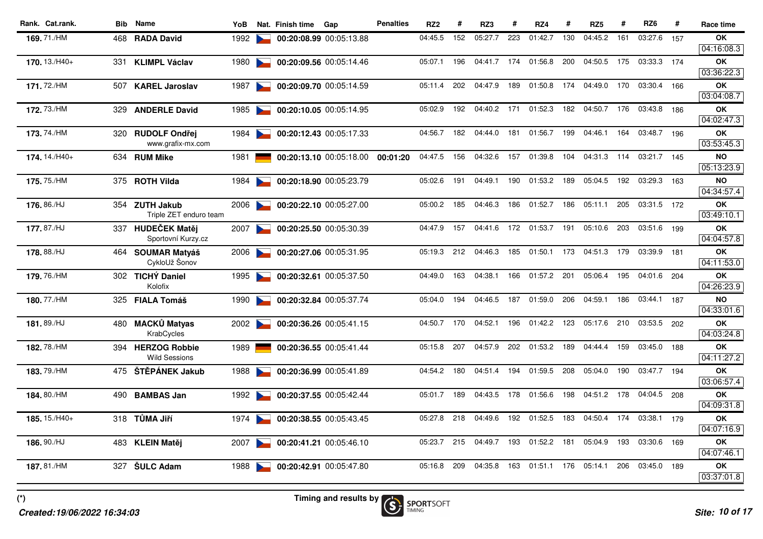| Rank. Cat.rank. |     | <b>Bib</b> Name                        | YoB  |                      | Nat. Finish time | Gap                     | <b>Penalties</b> | RZ <sub>2</sub> | #   | RZ3     | #   | RZ4         | #   | RZ <sub>5</sub> | #   | RZ <sub>6</sub> | #   | Race time               |
|-----------------|-----|----------------------------------------|------|----------------------|------------------|-------------------------|------------------|-----------------|-----|---------|-----|-------------|-----|-----------------|-----|-----------------|-----|-------------------------|
| 169.71./HM      |     | 468 RADA David                         | 1992 |                      |                  | 00:20:08.99 00:05:13.88 |                  | 04:45.5         | 152 | 05:27.7 | 223 | 01:42.7     | 130 | 04:45.2         | 161 | 03:27.6         | 157 | OK                      |
|                 |     |                                        |      |                      |                  |                         |                  |                 |     |         |     |             |     |                 |     |                 |     | 04:16:08.3              |
| 170.13./H40+    |     | 331 KLIMPL Václav                      | 1980 | $\sim$               |                  | 00:20:09.56 00:05:14.46 |                  | 05:07.1         | 196 | 04:41.7 | 174 | 01:56.8     | 200 | 04:50.5         | 175 | 03:33.3 174     |     | <b>OK</b>               |
|                 |     |                                        |      |                      |                  |                         |                  |                 |     |         |     |             |     |                 |     |                 |     | 03:36:22.3              |
| 171.72./HM      | 507 | <b>KAREL Jaroslav</b>                  | 1987 |                      |                  | 00:20:09.70 00:05:14.59 |                  | 05:11.4         | 202 | 04:47.9 | 189 | 01:50.8     | 174 | 04:49.0         | 170 | 03:30.4         | 166 | OK                      |
|                 |     |                                        |      |                      |                  |                         |                  |                 |     |         |     |             |     |                 |     |                 |     | 03:04:08.7              |
| 172.73./HM      | 329 | <b>ANDERLE David</b>                   | 1985 | $\sim$               |                  | 00:20:10.05 00:05:14.95 |                  | 05:02.9         | 192 | 04:40.2 | 171 | 01:52.3     | 182 | 04:50.7         | 176 | 03:43.8         | 186 | OK<br>04:02:47.3        |
|                 |     |                                        |      |                      |                  |                         |                  |                 |     |         |     |             |     |                 |     |                 |     |                         |
| 173.74./HM      |     | 320 RUDOLF Ondřej<br>www.grafix-mx.com | 1984 |                      |                  | 00:20:12.43 00:05:17.33 |                  | 04:56.7         | 182 | 04:44.0 | 181 | 01:56.7     | 199 | 04:46.1         | 164 | 03:48.7 196     |     | OK<br>03:53:45.3        |
| 174.14./H40+    |     | 634 RUM Mike                           | 1981 |                      |                  | 00:20:13.10 00:05:18.00 | 00:01:20         | 04:47.5         | 156 | 04:32.6 | 157 | 01:39.8     | 104 | 04:31.3         | 114 | 03:21.7 145     |     | <b>NO</b>               |
|                 |     |                                        |      |                      |                  |                         |                  |                 |     |         |     |             |     |                 |     |                 |     | 05:13:23.9              |
| 175.75./HM      |     | 375 ROTH Vilda                         | 1984 |                      |                  | 00:20:18.90 00:05:23.79 |                  | 05:02.6         | 191 | 04:49.1 | 190 | 01:53.2     | 189 | 05:04.5         | 192 | 03:29.3         | 163 | <b>NO</b>               |
|                 |     |                                        |      |                      |                  |                         |                  |                 |     |         |     |             |     |                 |     |                 |     | 04:34:57.4              |
| 176, 86./HJ     |     | 354 ZUTH Jakub                         | 2006 |                      |                  | 00:20:22.10 00:05:27.00 |                  | 05:00.2         | 185 | 04:46.3 | 186 | 01:52.7     | 186 | 05:11.1         | 205 | 03:31.5 172     |     | <b>OK</b>               |
|                 |     | Triple ZET enduro team                 |      |                      |                  |                         |                  |                 |     |         |     |             |     |                 |     |                 |     | 03:49:10.1              |
| 177.87./HJ      |     | 337 HUDEČEK Matěj                      | 2007 | $\sim$               |                  | 00:20:25.50 00:05:30.39 |                  | 04:47.9         | 157 | 04:41.6 |     | 172 01:53.7 | 191 | 05:10.6         | 203 | 03:51.6 199     |     | OK                      |
|                 |     | Sportovní Kurzy.cz                     |      |                      |                  |                         |                  |                 |     |         |     |             |     |                 |     |                 |     | 04:04:57.8              |
| 178, 88./HJ     |     | 464 SOUMAR Matyáš                      | 2006 |                      |                  | 00:20:27.06 00:05:31.95 |                  | 05:19.3         | 212 | 04:46.3 | 185 | 01:50.1     | 173 | 04:51.3         | 179 | 03:39.9 181     |     | ΟK                      |
|                 |     | CykloUž Šonov                          |      |                      |                  |                         |                  |                 |     |         |     |             |     |                 |     |                 |     | 04:11:53.0              |
| 179.76./HM      |     | 302 TICHÝ Daniel                       | 1995 | $\sim$               |                  | 00:20:32.61 00:05:37.50 |                  | 04:49.0         | 163 | 04:38.1 | 166 | 01:57.2     | 201 | 05:06.4         | 195 | 04:01.6         | 204 | OK                      |
|                 |     | Kolofix                                |      |                      |                  |                         |                  |                 |     |         |     |             |     |                 |     |                 |     | 04:26:23.9              |
| 180.77./HM      |     | 325 FIALA Tomáš                        | 1990 |                      |                  | 00:20:32.84 00:05:37.74 |                  | 05:04.0         | 194 | 04:46.5 | 187 | 01:59.0     | 206 | 04:59.1         | 186 | 03:44.1         | 187 | <b>NO</b><br>04:33:01.6 |
|                 | 480 | <b>MACKŮ Matyas</b>                    |      |                      |                  | 00:20:36.26 00:05:41.15 |                  | 04:50.7         | 170 | 04:52.1 | 196 | 01:42.2     | 123 | 05:17.6         | 210 | 03:53.5 202     |     | OK                      |
| 181.89./HJ      |     | KrabCycles                             | 2002 | <b>Participation</b> |                  |                         |                  |                 |     |         |     |             |     |                 |     |                 |     | 04:03:24.8              |
| 182.78./HM      |     | 394 HERZOG Robbie                      | 1989 |                      |                  | 00:20:36.55 00:05:41.44 |                  | 05:15.8         | 207 | 04:57.9 | 202 | 01:53.2     | 189 | 04:44.4         | 159 | 03:45.0 188     |     | <b>OK</b>               |
|                 |     | <b>Wild Sessions</b>                   |      |                      |                  |                         |                  |                 |     |         |     |             |     |                 |     |                 |     | 04:11:27.2              |
| 183.79./HM      |     | 475 ŠTĚPÁNEK Jakub                     | 1988 |                      |                  | 00:20:36.99 00:05:41.89 |                  | 04:54.2         | 180 | 04:51.4 | 194 | 01:59.5     | 208 | 05:04.0         | 190 | 03:47.7         | 194 | OK                      |
|                 |     |                                        |      |                      |                  |                         |                  |                 |     |         |     |             |     |                 |     |                 |     | 03:06:57.4              |
| 184.80./HM      | 490 | <b>BAMBAS Jan</b>                      | 1992 |                      |                  | 00:20:37.55 00:05:42.44 |                  | 05:01.7         | 189 | 04:43.5 | 178 | 01:56.6     | 198 | 04:51.2         | 178 | 04:04.5         | 208 | <b>OK</b>               |
|                 |     |                                        |      |                      |                  |                         |                  |                 |     |         |     |             |     |                 |     |                 |     | 04:09:31.8              |
| 185.15./H40+    |     | 318 TŮMA Jiří                          | 1974 |                      |                  | 00:20:38.55 00:05:43.45 |                  | 05:27.8         | 218 | 04:49.6 | 192 | 01:52.5     | 183 | 04:50.4         | 174 | 03:38.1 179     |     | OK                      |
|                 |     |                                        |      |                      |                  |                         |                  |                 |     |         |     |             |     |                 |     |                 |     | 04:07:16.9              |
| 186.90./HJ      |     | 483 KLEIN Matěj                        | 2007 | $\sim$               |                  | 00:20:41.21 00:05:46.10 |                  | 05:23.7         | 215 | 04:49.7 | 193 | 01:52.2     | 181 | 05:04.9         | 193 | 03:30.6 169     |     | <b>OK</b>               |
|                 |     |                                        |      |                      |                  |                         |                  |                 |     |         |     |             |     |                 |     |                 |     | 04:07:46.1              |
| 187.81./HM      | 327 | <b>ŠULC Adam</b>                       | 1988 |                      |                  | 00:20:42.91 00:05:47.80 |                  | 05:16.8         | 209 | 04:35.8 | 163 | 01:51.1     | 176 | 05:14.1         | 206 | 03:45.0 189     |     | OK                      |
|                 |     |                                        |      |                      |                  |                         |                  |                 |     |         |     |             |     |                 |     |                 |     | 03:37:01.8              |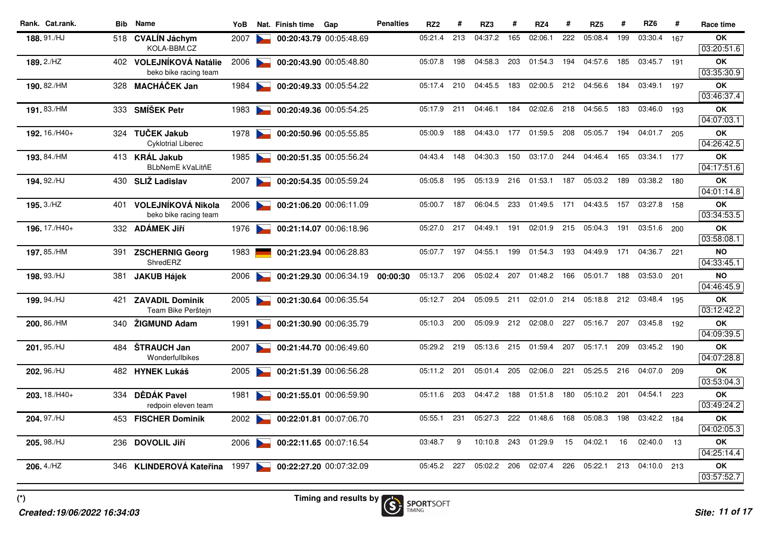| Rank. Cat.rank. | <b>Bib</b> | <b>Name</b>                                  | YoB  |                                   | Nat. Finish time | Gap                     | <b>Penalties</b> | RZ <sub>2</sub> | #   | RZ3         | #   | RZ4         | #   | RZ <sub>5</sub> | #   | RZ <sub>6</sub> | #   | Race time               |
|-----------------|------------|----------------------------------------------|------|-----------------------------------|------------------|-------------------------|------------------|-----------------|-----|-------------|-----|-------------|-----|-----------------|-----|-----------------|-----|-------------------------|
| 188.91./HJ      |            | 518 CVALIN Jáchym<br>KOLA-BBM.CZ             | 2007 |                                   |                  | 00:20:43.79 00:05:48.69 |                  | 05:21.4         | 213 | 04:37.2     | 165 | 02:06.1     | 222 | 05:08.4         | 199 | 03:30.4         | 167 | OK<br>03:20:51.6        |
| 189.2./HZ       |            | 402 VOLEJNÍKOVÁ Natálie                      | 2006 |                                   |                  | 00:20:43.90 00:05:48.80 |                  | 05:07.8         | 198 | 04:58.3     | 203 | 01:54.3     | 194 | 04:57.6         | 185 | 03:45.7         | 191 | <b>OK</b>               |
|                 |            | beko bike racing team                        |      |                                   |                  |                         |                  |                 |     |             |     |             |     |                 |     |                 |     | 03:35:30.9              |
| 190.82./HM      | 328        | <b>MACHÁČEK Jan</b>                          | 1984 |                                   |                  | 00:20:49.33 00:05:54.22 |                  | 05:17.4         | 210 | 04:45.5     | 183 | 02:00.5     | 212 | 04:56.6         | 184 | 03:49.1         | 197 | OK<br>03:46:37.4        |
| 191.83./HM      | 333        | <b>SMÍŠEK Petr</b>                           | 1983 | <b>Participation</b>              |                  | 00:20:49.36 00:05:54.25 |                  | 05:17.9         | 211 | 04:46.1     | 184 | 02:02.6     | 218 | 04:56.5         | 183 | 03:46.0         | 193 | OK<br>04:07:03.1        |
| 192.16./H40+    |            | 324 TUČEK Jakub<br><b>Cyklotrial Liberec</b> | 1978 |                                   |                  | 00:20:50.96 00:05:55.85 |                  | 05:00.9         | 188 | 04:43.0     | 177 | 01:59.5     | 208 | 05:05.7         | 194 | 04:01.7 205     |     | <b>OK</b><br>04:26:42.5 |
| 193.84./HM      |            | 413 KRÁL Jakub<br><b>BLbNemE kVaLitňE</b>    | 1985 |                                   |                  | 00:20:51.35 00:05:56.24 |                  | 04:43.4         | 148 | 04:30.3     | 150 | 03:17.0     | 244 | 04:46.4         | 165 | 03:34.1         | 177 | OK<br>04:17:51.6        |
| 194.92./HJ      |            | 430 SLIŽ Ladislav                            | 2007 |                                   |                  | 00:20:54.35 00:05:59.24 |                  | 05:05.8         | 195 | 05:13.9     | 216 | 01:53.1     | 187 | 05:03.2         | 189 | 03:38.2 180     |     | <b>OK</b><br>04:01:14.8 |
| 195.3./HZ       | 401        | VOLEJNÍKOVÁ Nikola<br>beko bike racing team  | 2006 | <b>Contract Contract Contract</b> |                  | 00:21:06.20 00:06:11.09 |                  | 05:00.7         | 187 | 06:04.5     | 233 | 01:49.5     | 171 | 04:43.5         | 157 | 03:27.8         | 158 | OK<br>03:34:53.5        |
| 196.17./H40+    |            | 332 ADAMEK Jiří                              | 1976 |                                   |                  | 00:21:14.07 00:06:18.96 |                  | 05:27.0         |     | 217 04:49.1 | 191 | 02:01.9     | 215 | 05:04.3         | 191 | 03:51.6 200     |     | <b>OK</b><br>03:58:08.1 |
| 197.85./HM      |            | 391 ZSCHERNIG Georg<br>ShredERZ              | 1983 |                                   |                  | 00:21:23.94 00:06:28.83 |                  | 05:07.7         | 197 | 04:55.1     | 199 | 01:54.3     | 193 | 04:49.9         | 171 | 04:36.7         | 221 | <b>NO</b><br>04:33:45.1 |
| 198.93./HJ      | 381        | <b>JAKUB Hájek</b>                           | 2006 |                                   |                  | 00:21:29.30 00:06:34.19 | 00:00:30         | 05:13.7         | 206 | 05:02.4     | 207 | 01:48.2     | 166 | 05:01.7         | 188 | 03:53.0         | 201 | <b>NO</b><br>04:46:45.9 |
| 199.94./HJ      | 421        | <b>ZAVADIL Dominik</b><br>Team Bike Perštejn | 2005 |                                   |                  | 00:21:30.64 00:06:35.54 |                  | 05:12.7         | 204 | 05:09.5     | 211 | 02:01.0     | 214 | 05:18.8         | 212 | 03:48.4         | 195 | <b>OK</b><br>03:12:42.2 |
| 200.86./HM      | 340        | ŽIGMUND Adam                                 | 1991 | <b>Communication</b>              |                  | 00:21:30.90 00:06:35.79 |                  | 05:10.3         | 200 | 05:09.9     |     | 212 02:08.0 | 227 | 05:16.7         | 207 | 03:45.8         | 192 | OK<br>04:09:39.5        |
| 201.95./HJ      | 484 -      | <b>STRAUCH Jan</b><br>Wonderfullbikes        | 2007 |                                   |                  | 00:21:44.70 00:06:49.60 |                  | 05:29.2         | 219 | 05:13.6     | 215 | 01:59.4     | 207 | 05:17.1         | 209 | 03:45.2 190     |     | <b>OK</b><br>04:07:28.8 |
| 202.96./HJ      |            | 482 HYNEK Lukáš                              | 2005 |                                   |                  | 00:21:51.39 00:06:56.28 |                  | 05:11.2         | 201 | 05:01.4     | 205 | 02:06.0     | 221 | 05:25.5         | 216 | 04:07.0         | 209 | OK<br>03:53:04.3        |
| 203.18./H40+    | 334        | DÉDÁK Pavel<br>redpoin eleven team           | 1981 |                                   |                  | 00:21:55.01 00:06:59.90 |                  | 05:11.6         | 203 | 04:47.2     | 188 | 01:51.8     | 180 | 05:10.2         | 201 | 04:54.1         | 223 | <b>OK</b><br>03:49:24.2 |
| 204.97./HJ      | 453        | <b>FISCHER Dominik</b>                       | 2002 |                                   |                  | 00:22:01.81 00:07:06.70 |                  | 05:55.1         | 231 | 05:27.3     | 222 | 01:48.6     | 168 | 05:08.3         | 198 | 03:42.2         | 184 | OK<br>04:02:05.3        |
| 205.98./HJ      | 236        | <b>DOVOLIL Jiří</b>                          | 2006 | $\sim$                            |                  | 00:22:11.65 00:07:16.54 |                  | 03:48.7         | 9   | 10:10.8     | 243 | 01:29.9     | 15  | 04:02.1         | 16  | 02:40.0         | 13  | OK<br>04:25:14.4        |
| $206.4$ /HZ     | 346        | KLINDEROVÁ Kateřina                          | 1997 |                                   |                  | 00:22:27.20 00:07:32.09 |                  | 05:45.2         | 227 | 05:02.2     | 206 | 02:07.4     | 226 | 05:22.1         | 213 | 04:10.0 213     |     | OK                      |
|                 |            |                                              |      |                                   |                  |                         |                  |                 |     |             |     |             |     |                 |     |                 |     | 03:57:52.7              |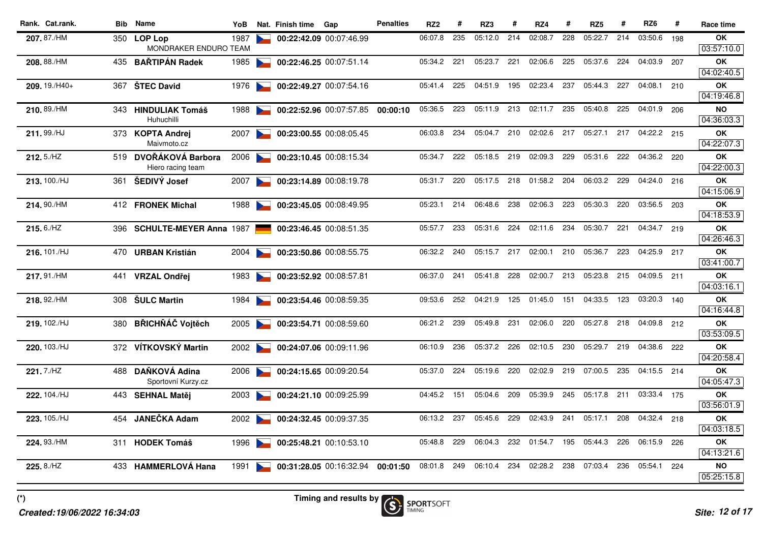| Rank. Cat.rank. | Bib | Name                                       | YoB  |                                   | Nat. Finish time | Gap                     | <b>Penalties</b> | RZ <sub>2</sub> | #   | RZ3     | #   | RZ4     | #   | RZ <sub>5</sub> | #   | RZ6         | #   | Race time               |
|-----------------|-----|--------------------------------------------|------|-----------------------------------|------------------|-------------------------|------------------|-----------------|-----|---------|-----|---------|-----|-----------------|-----|-------------|-----|-------------------------|
| 207.87./HM      |     | 350 LOP Lop<br>MONDRAKER ENDURO TEAM       | 1987 |                                   |                  | 00:22:42.09 00:07:46.99 |                  | 06:07.8         | 235 | 05:12.0 | 214 | 02:08.7 | 228 | 05:22.7         | 214 | 03:50.6     | 198 | ΟK<br>03:57:10.0        |
| 208.88./HM      | 435 | <b>BARTIPAN Radek</b>                      | 1985 |                                   |                  | 00:22:46.25 00:07:51.14 |                  | 05:34.2         | 221 | 05:23.7 | 221 | 02:06.6 | 225 | 05:37.6         | 224 | 04:03.9     | 207 | <b>OK</b>               |
|                 |     |                                            |      |                                   |                  |                         |                  |                 |     |         |     |         |     |                 |     |             |     | 04:02:40.5              |
| 209.19./H40+    |     | 367 ŠTEC David                             | 1976 |                                   |                  | 00:22:49.27 00:07:54.16 |                  | 05:41.4         | 225 | 04:51.9 | 195 | 02:23.4 | 237 | 05:44.3         | 227 | 04:08.1     | 210 | OK<br>04:19:46.8        |
| 210.89./HM      |     | 343 HINDULIAK Tomáš<br>Huhuchilli          | 1988 |                                   |                  | 00:22:52.96 00:07:57.85 | 00:00:10         | 05:36.5         | 223 | 05:11.9 | 213 | 02:11.7 | 235 | 05:40.8         | 225 | 04:01.9 206 |     | <b>NO</b><br>04:36:03.3 |
| 211.99./HJ      |     | 373 KOPTA Andrej<br>Maiymoto.cz            | 2007 |                                   |                  | 00:23:00.55 00:08:05.45 |                  | 06:03.8         | 234 | 05:04.7 | 210 | 02:02.6 | 217 | 05:27.1         | 217 | 04:22.2 215 |     | OK<br>04:22:07.3        |
| 212.5./HZ       |     | 519 DVOŘÁKOVÁ Barbora<br>Hiero racing team | 2006 | $\sim$                            |                  | 00:23:10.45 00:08:15.34 |                  | 05:34.7         | 222 | 05:18.5 | 219 | 02:09.3 | 229 | 05:31.6         | 222 | 04:36.2 220 |     | OK<br>04:22:00.3        |
| 213.100./HJ     | 361 | ŠEDIVÝ Josef                               | 2007 |                                   |                  | 00:23:14.89 00:08:19.78 |                  | 05:31.7         | 220 | 05:17.5 | 218 | 01:58.2 | 204 | 06:03.2         | 229 | 04:24.0 216 |     | <b>OK</b><br>04:15:06.9 |
| 214.90./HM      |     | 412 FRONEK Michal                          | 1988 |                                   |                  | 00:23:45.05 00:08:49.95 |                  | 05:23.1         | 214 | 06:48.6 | 238 | 02:06.3 | 223 | 05:30.3         | 220 | 03:56.5 203 |     | OK<br>04:18:53.9        |
| $215.6$ ./HZ    |     | 396 SCHULTE-MEYER Anna 1987                |      |                                   |                  | 00:23:46.45 00:08:51.35 |                  | 05:57.7         | 233 | 05:31.6 | 224 | 02:11.6 | 234 | 05:30.7         | 221 | 04:34.7 219 |     | OK                      |
| 216.101./HJ     |     | 470 URBAN Kristián                         | 2004 |                                   |                  | 00:23:50.86 00:08:55.75 |                  | 06:32.2         | 240 | 05:15.7 | 217 | 02:00.1 | 210 | 05:36.7         | 223 | 04:25.9 217 |     | 04:26:46.3<br><b>OK</b> |
| 217.91./HM      | 441 | <b>VRZAL Ondřej</b>                        | 1983 |                                   |                  | 00:23:52.92 00:08:57.81 |                  | 06:37.0         | 241 | 05:41.8 | 228 | 02:00.7 | 213 | 05:23.8         | 215 | 04:09.5 211 |     | 03:41:00.7<br>OK        |
|                 |     |                                            |      |                                   |                  |                         |                  |                 |     |         |     |         |     |                 |     |             |     | 04:03:16.1              |
| 218.92./HM      | 308 | <b>SULC Martin</b>                         | 1984 |                                   |                  | 00:23:54.46 00:08:59.35 |                  | 09:53.6         | 252 | 04:21.9 | 125 | 01:45.0 | 151 | 04:33.5         | 123 | 03:20.3     | 140 | <b>OK</b><br>04:16:44.8 |
| 219.102./HJ     | 380 | <b>BŘICHŇÁČ Vojtěch</b>                    | 2005 | <b>Contract Contract Contract</b> |                  | 00:23:54.71 00:08:59.60 |                  | 06:21.2         | 239 | 05:49.8 | 231 | 02:06.0 | 220 | 05:27.8         | 218 | 04:09.8 212 |     | OK<br>03:53:09.5        |
| 220.103./HJ     |     | 372 VÍTKOVSKÝ Martin                       | 2002 |                                   |                  | 00:24:07.06 00:09:11.96 |                  | 06:10.9         | 236 | 05:37.2 | 226 | 02:10.5 | 230 | 05:29.7         | 219 | 04:38.6     | 222 | OK<br>04:20:58.4        |
| 221.7./HZ       | 488 | DAŇKOVÁ Adina<br>Sportovní Kurzy.cz        | 2006 |                                   |                  | 00:24:15.65 00:09:20.54 |                  | 05:37.0         | 224 | 05:19.6 | 220 | 02:02.9 | 219 | 07:00.5         | 235 | 04:15.5 214 |     | OK<br>04:05:47.3        |
| 222.104./HJ     | 443 | <b>SEHNAL Matěj</b>                        | 2003 |                                   |                  | 00:24:21.10 00:09:25.99 |                  | 04:45.2         | 151 | 05:04.6 | 209 | 05:39.9 | 245 | 05:17.8         | 211 | 03:33.4 175 |     | <b>OK</b><br>03:56:01.9 |
| 223.105./HJ     | 454 | JANEČKA Adam                               | 2002 |                                   |                  | 00:24:32.45 00:09:37.35 |                  | 06:13.2         | 237 | 05:45.6 | 229 | 02:43.9 | 241 | 05:17.1         | 208 | 04:32.4 218 |     | OK<br>04:03:18.5        |
| 224.93./HM      | 311 | <b>HODEK Tomáš</b>                         | 1996 | <b>Participants</b>               |                  | 00:25:48.21 00:10:53.10 |                  | 05:48.8         | 229 | 06:04.3 | 232 | 01:54.7 | 195 | 05:44.3         | 226 | 06:15.9 226 |     | OK<br>04:13:21.6        |
| 225.8./HZ       |     | 433 HAMMERLOVÁ Hana                        | 1991 |                                   |                  | 00:31:28.05 00:16:32.94 | 00:01:50         | 08:01.8         | 249 | 06:10.4 | 234 | 02:28.2 | 238 | 07:03.4         | 236 | 05:54.1     | 224 | NO                      |
|                 |     |                                            |      |                                   |                  |                         |                  |                 |     |         |     |         |     |                 |     |             |     | 05:25:15.8              |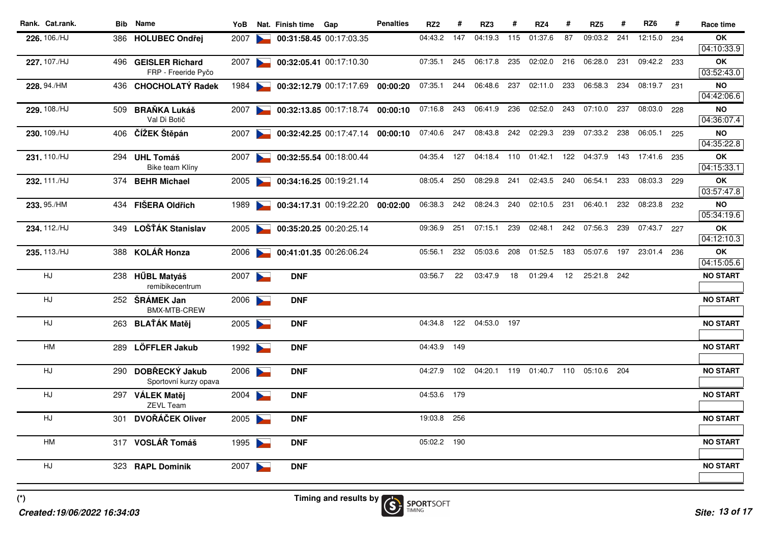| Rank. Cat.rank. |     | <b>Bib</b> Name                             | YoB  |                                   | Nat. Finish time | Gap                              | <b>Penalties</b> | RZ <sub>2</sub> | #   | RZ3         |     | RZ4                     | #   | RZ <sub>5</sub> |     | RZ <sub>6</sub> | #   | Race time               |
|-----------------|-----|---------------------------------------------|------|-----------------------------------|------------------|----------------------------------|------------------|-----------------|-----|-------------|-----|-------------------------|-----|-----------------|-----|-----------------|-----|-------------------------|
| 226.106./HJ     |     | 386 HOLUBEC Ondřej                          | 2007 |                                   |                  | 00:31:58.45 00:17:03.35          |                  | 04:43.2         | 147 | 04:19.3     | 115 | 01:37.6                 | 87  | 09:03.2         | 241 | 12:15.0         | 234 | OK                      |
|                 |     |                                             |      |                                   |                  |                                  |                  |                 | 245 | 06:17.8     |     |                         | 216 | 06:28.0         | 231 |                 |     | 04:10:33.9              |
| 227.107./HJ     |     | 496 GEISLER Richard<br>FRP - Freeride Pyčo  | 2007 | <b>Contract Contract Contract</b> |                  | 00:32:05.41 00:17:10.30          |                  | 07:35.1         |     |             | 235 | 02:02.0                 |     |                 |     | 09:42.2 233     |     | OK<br>03:52:43.0        |
| 228.94./HM      |     | 436 CHOCHOLATY Radek                        | 1984 |                                   |                  | 00:32:12.79 00:17:17.69          | 00:00:20         | 07:35.1         | 244 | 06:48.6     | 237 | 02:11.0                 | 233 | 06:58.3         | 234 | 08:19.7         | 231 | <b>NO</b>               |
|                 |     |                                             |      |                                   |                  |                                  |                  |                 |     |             |     |                         |     |                 |     |                 |     | 04:42:06.6              |
| 229.108./HJ     | 509 | <b>BRAŇKA Lukáš</b><br>Val Di Botič         | 2007 | <b>Contract Contract Contract</b> |                  | 00:32:13.85 00:17:18.74          | 00:00:10         | 07:16.8 243     |     | 06:41.9 236 |     | 02:52.0                 | 243 | 07:10.0         | 237 | 08:03.0 228     |     | <b>NO</b><br>04:36:07.4 |
| 230.109./HJ     |     | 406 ČÍŽEK Štěpán                            | 2007 |                                   |                  | 00:32:42.25 00:17:47.14          | 00:00:10         | 07:40.6 247     |     |             |     | 08:43.8 242 02:29.3     | 239 | 07:33.2         | 238 | 06:05.1 225     |     | <b>NO</b>               |
|                 |     |                                             |      |                                   |                  |                                  |                  |                 |     |             |     |                         |     |                 |     |                 |     | 04:35:22.8              |
| 231.110./HJ     |     | 294 UHL Tomáš<br>Bike team Klíny            | 2007 |                                   |                  | 00:32:55.54 00:18:00.44          |                  | 04:35.4         | 127 | 04:18.4 110 |     | 01:42.1                 | 122 | 04:37.9         | 143 | 17:41.6 235     |     | OK<br>04:15:33.1        |
| 232.111./HJ     |     | 374 BEHR Michael                            | 2005 | <b>Participation</b>              |                  | 00:34:16.25 00:19:21.14          |                  | 08:05.4         | 250 | 08:29.8     | 241 | 02:43.5                 | 240 | 06:54.1         | 233 | 08:03.3         | 229 | ΟK                      |
|                 |     |                                             |      |                                   |                  |                                  |                  |                 |     |             |     |                         |     |                 |     |                 |     | 03:57:47.8              |
| 233.95./HM      |     | 434 FIŠERA Oldřich                          | 1989 |                                   |                  | 00:34:17.31 00:19:22.20 00:02:00 |                  | 06:38.3         | 242 | 08:24.3     | 240 | 02:10.5                 | 231 | 06:40.1         | 232 | 08:23.8 232     |     | <b>NO</b>               |
|                 |     |                                             |      |                                   |                  |                                  |                  |                 |     |             |     |                         |     |                 |     |                 |     | 05:34:19.6              |
| 234.112./HJ     |     | 349 LOŠŤÁK Stanislav                        | 2005 | <b>Contract Contract Contract</b> |                  | 00:35:20.25 00:20:25.14          |                  | 09:36.9         | 251 | 07:15.1     | 239 | 02:48.1                 | 242 | 07:56.3         | 239 | 07:43.7 227     |     | OK<br>04:12:10.3        |
| 235.113./HJ     |     | 388 KOLÁŘ Honza                             | 2006 |                                   |                  | 00:41:01.35 00:26:06.24          |                  | 05:56.1         | 232 | 05:03.6     | 208 | 01:52.5                 | 183 | 05:07.6         |     | 197 23:01.4 236 |     | ΟK                      |
|                 |     |                                             |      |                                   |                  |                                  |                  |                 |     |             |     |                         |     |                 |     |                 |     | 04:15:05.6              |
| HJ              |     | 238 HŰBL Matyáš<br>remibikecentrum          | 2007 |                                   | <b>DNF</b>       |                                  |                  | 03:56.7         | 22  | 03:47.9     | 18  | 01:29.4                 | 12  | 25:21.8         | 242 |                 |     | <b>NO START</b>         |
| HJ              |     | 252 ŠRÁMEK Jan                              | 2006 |                                   | <b>DNF</b>       |                                  |                  |                 |     |             |     |                         |     |                 |     |                 |     | <b>NO START</b>         |
|                 |     | BMX-MTB-CREW                                |      |                                   |                  |                                  |                  |                 |     |             |     |                         |     |                 |     |                 |     |                         |
| HJ              |     | 263 BLAŤÁK Matěj                            | 2005 |                                   | <b>DNF</b>       |                                  |                  | 04:34.8         | 122 | 04:53.0 197 |     |                         |     |                 |     |                 |     | <b>NO START</b>         |
| HM              | 289 | <b>LÖFFLER Jakub</b>                        | 1992 |                                   | <b>DNF</b>       |                                  |                  | 04:43.9 149     |     |             |     |                         |     |                 |     |                 |     | <b>NO START</b>         |
|                 |     |                                             |      |                                   |                  |                                  |                  |                 |     |             |     |                         |     |                 |     |                 |     |                         |
| HJ.             |     | 290 DOBŘECKÝ Jakub<br>Sportovní kurzy opava | 2006 |                                   | <b>DNF</b>       |                                  |                  | 04:27.9         | 102 |             |     | 04:20.1 119 01:40.7 110 |     | 05:10.6 204     |     |                 |     | <b>NO START</b>         |
| HJ              |     | 297 VÁLEK Matěj<br><b>ZEVL Team</b>         | 2004 |                                   | <b>DNF</b>       |                                  |                  | 04:53.6 179     |     |             |     |                         |     |                 |     |                 |     | <b>NO START</b>         |
| HJ              | 301 | DVOŘÁČEK Oliver                             | 2005 |                                   | <b>DNF</b>       |                                  |                  | 19:03.8         | 256 |             |     |                         |     |                 |     |                 |     | <b>NO START</b>         |
|                 |     |                                             |      |                                   |                  |                                  |                  |                 |     |             |     |                         |     |                 |     |                 |     |                         |
| <b>HM</b>       |     | 317 VOSLÁŘ Tomáš                            | 1995 |                                   | <b>DNF</b>       |                                  |                  | 05:02.2         | 190 |             |     |                         |     |                 |     |                 |     | <b>NO START</b>         |
|                 |     |                                             |      |                                   |                  |                                  |                  |                 |     |             |     |                         |     |                 |     |                 |     |                         |
| HJ              |     | 323 RAPL Dominik                            | 2007 |                                   | <b>DNF</b>       |                                  |                  |                 |     |             |     |                         |     |                 |     |                 |     | <b>NO START</b>         |
|                 |     |                                             |      |                                   |                  |                                  |                  |                 |     |             |     |                         |     |                 |     |                 |     |                         |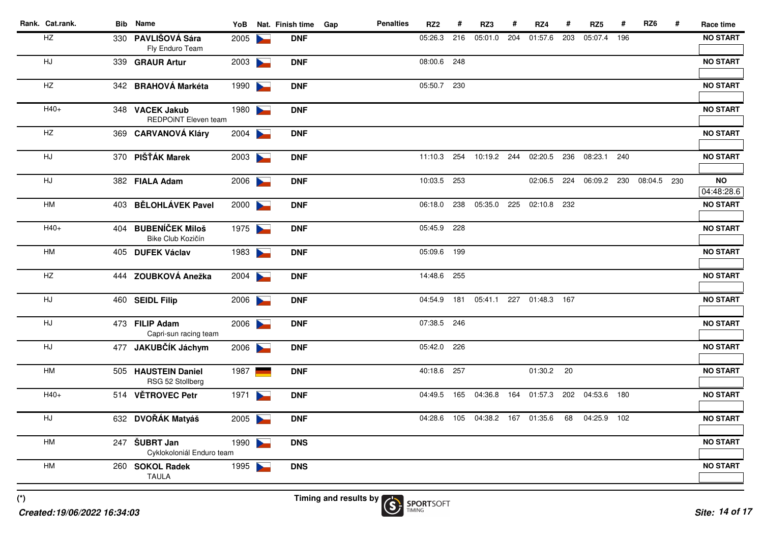| Rank. Cat.rank. | <b>Bib</b> Name                                | YoB  |                       | Nat. Finish time | Gap | <b>Penalties</b> | RZ <sub>2</sub> | #   | RZ3         | #   | RZ4                     | #   | RZ <sub>5</sub> | #   | RZ <sub>6</sub> | # | Race time               |
|-----------------|------------------------------------------------|------|-----------------------|------------------|-----|------------------|-----------------|-----|-------------|-----|-------------------------|-----|-----------------|-----|-----------------|---|-------------------------|
| $\mathsf{HZ}$   | 330 PAVLIŠOVÁ Sára<br>Fly Enduro Team          | 2005 |                       | <b>DNF</b>       |     |                  | 05:26.3         | 216 | 05:01.0     | 204 | 01:57.6                 | 203 | 05:07.4         | 196 |                 |   | <b>NO START</b>         |
| HJ              | 339 GRAUR Artur                                | 2003 | $\blacktriangleright$ | <b>DNF</b>       |     |                  | 08:00.6         | 248 |             |     |                         |     |                 |     |                 |   | <b>NO START</b>         |
| HZ              | 342 BRAHOVÁ Markéta                            | 1990 | $\blacktriangleright$ | <b>DNF</b>       |     |                  | 05:50.7 230     |     |             |     |                         |     |                 |     |                 |   | <b>NO START</b>         |
| $H40+$          | 348 VACEK Jakub<br><b>REDPOINT Eleven team</b> | 1980 |                       | <b>DNF</b>       |     |                  |                 |     |             |     |                         |     |                 |     |                 |   | <b>NO START</b>         |
| HZ              | 369 CARVANOVÁ Kláry                            | 2004 |                       | <b>DNF</b>       |     |                  |                 |     |             |     |                         |     |                 |     |                 |   | <b>NO START</b>         |
| HJ              | 370 PIŠŤÁK Marek                               | 2003 |                       | <b>DNF</b>       |     |                  | 11:10.3         | 254 | 10:19.2 244 |     | 02:20.5                 | 236 | 08:23.1         | 240 |                 |   | <b>NO START</b>         |
| HJ              | 382 FIALA Adam                                 | 2006 |                       | <b>DNF</b>       |     |                  | 10:03.5         | 253 |             |     | 02:06.5                 | 224 | 06:09.2         | 230 | 08:04.5 230     |   | <b>NO</b><br>04:48:28.6 |
| HM              | 403 BĚLOHLÁVEK Pavel                           | 2000 |                       | <b>DNF</b>       |     |                  | 06:18.0         | 238 | 05:35.0     | 225 | 02:10.8 232             |     |                 |     |                 |   | <b>NO START</b>         |
| $H40+$          | 404 BUBENÍČEK Miloš<br>Bike Club Kozičín       | 1975 |                       | <b>DNF</b>       |     |                  | 05:45.9         | 228 |             |     |                         |     |                 |     |                 |   | <b>NO START</b>         |
| HM              | 405 DUFEK Václav                               | 1983 |                       | <b>DNF</b>       |     |                  | 05:09.6         | 199 |             |     |                         |     |                 |     |                 |   | <b>NO START</b>         |
| HZ              | 444 ZOUBKOVÁ Anežka                            | 2004 |                       | <b>DNF</b>       |     |                  | 14:48.6         | 255 |             |     |                         |     |                 |     |                 |   | <b>NO START</b>         |
| HJ              | 460 SEIDL Filip                                | 2006 |                       | <b>DNF</b>       |     |                  | 04:54.9         | 181 |             |     | 05:41.1 227 01:48.3 167 |     |                 |     |                 |   | <b>NO START</b>         |
| HJ              | 473 FILIP Adam<br>Capri-sun racing team        | 2006 |                       | <b>DNF</b>       |     |                  | 07:38.5 246     |     |             |     |                         |     |                 |     |                 |   | <b>NO START</b>         |
| HJ              | 477 JAKUBČÍK Jáchym                            | 2006 |                       | <b>DNF</b>       |     |                  | 05:42.0         | 226 |             |     |                         |     |                 |     |                 |   | <b>NO START</b>         |
| <b>HM</b>       | 505 HAUSTEIN Daniel<br>RSG 52 Stollberg        | 1987 |                       | <b>DNF</b>       |     |                  | 40:18.6         | 257 |             |     | 01:30.2 20              |     |                 |     |                 |   | <b>NO START</b>         |
| H40+            | 514 VĚTROVEC Petr                              | 1971 |                       | <b>DNF</b>       |     |                  | 04:49.5         | 165 | 04:36.8     | 164 | 01:57.3                 | 202 | 04:53.6 180     |     |                 |   | <b>NO START</b>         |
| HJ              | 632 DVOŘÁK Matyáš                              | 2005 |                       | <b>DNF</b>       |     |                  | 04:28.6         |     |             |     | 105 04:38.2 167 01:35.6 | 68  | 04:25.9 102     |     |                 |   | <b>NO START</b>         |
| HM              | 247 ŠUBRT Jan<br>Cyklokoloniál Enduro team     | 1990 |                       | <b>DNS</b>       |     |                  |                 |     |             |     |                         |     |                 |     |                 |   | <b>NO START</b>         |
| HM              | 260 SOKOL Radek<br><b>TAULA</b>                | 1995 |                       | <b>DNS</b>       |     |                  |                 |     |             |     |                         |     |                 |     |                 |   | <b>NO START</b>         |
|                 |                                                |      |                       |                  |     |                  |                 |     |             |     |                         |     |                 |     |                 |   |                         |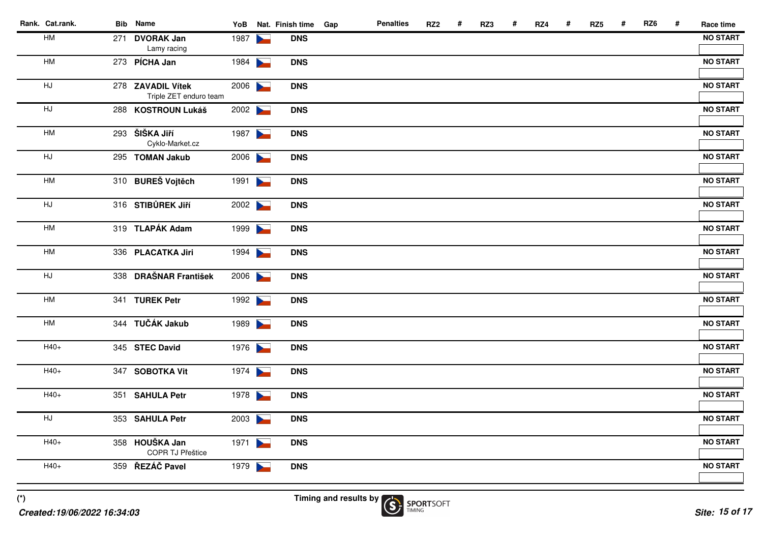| Rank. Cat.rank. | <b>Bib</b> Name                             |      | YoB Nat. Finish time Gap | <b>Penalties</b> | RZ <sub>2</sub> | # | RZ3 | # | RZ4 | # | RZ <sub>5</sub> | # | RZ6 | # | Race time       |
|-----------------|---------------------------------------------|------|--------------------------|------------------|-----------------|---|-----|---|-----|---|-----------------|---|-----|---|-----------------|
| HM              | 271 DVORAK Jan<br>Lamy racing               | 1987 | <b>DNS</b>               |                  |                 |   |     |   |     |   |                 |   |     |   | <b>NO START</b> |
| HM              | 273 PÍCHA Jan                               | 1984 | <b>DNS</b>               |                  |                 |   |     |   |     |   |                 |   |     |   | <b>NO START</b> |
| HJ              | 278 ZAVADIL Vítek<br>Triple ZET enduro team | 2006 | <b>DNS</b>               |                  |                 |   |     |   |     |   |                 |   |     |   | <b>NO START</b> |
| HJ              | 288 KOSTROUN Lukáš                          | 2002 | <b>DNS</b>               |                  |                 |   |     |   |     |   |                 |   |     |   | <b>NO START</b> |
| HM              | 293 ŠIŠKA Jiří<br>Cyklo-Market.cz           | 1987 | <b>DNS</b>               |                  |                 |   |     |   |     |   |                 |   |     |   | <b>NO START</b> |
| HJ              | 295 TOMAN Jakub                             | 2006 | <b>DNS</b>               |                  |                 |   |     |   |     |   |                 |   |     |   | <b>NO START</b> |
| HM              | 310 BUREŠ Vojtěch                           | 1991 | <b>DNS</b>               |                  |                 |   |     |   |     |   |                 |   |     |   | <b>NO START</b> |
| HJ              | 316 STIBŮREK JIří                           | 2002 | <b>DNS</b>               |                  |                 |   |     |   |     |   |                 |   |     |   | <b>NO START</b> |
| HM              | 319 TLAPÁK Adam                             | 1999 | <b>DNS</b>               |                  |                 |   |     |   |     |   |                 |   |     |   | <b>NO START</b> |
| HM              | 336 PLACATKA Jiri                           | 1994 | <b>DNS</b>               |                  |                 |   |     |   |     |   |                 |   |     |   | <b>NO START</b> |
| HJ              | 338 DRAŠNAR František                       | 2006 | <b>DNS</b>               |                  |                 |   |     |   |     |   |                 |   |     |   | <b>NO START</b> |
| HM              | 341 TUREK Petr                              | 1992 | <b>DNS</b>               |                  |                 |   |     |   |     |   |                 |   |     |   | <b>NO START</b> |
| HM              | 344 TUČÁK Jakub                             | 1989 | <b>DNS</b>               |                  |                 |   |     |   |     |   |                 |   |     |   | <b>NO START</b> |
| $H40+$          | 345 STEC David                              | 1976 | <b>DNS</b>               |                  |                 |   |     |   |     |   |                 |   |     |   | <b>NO START</b> |
| $H40+$          | 347 SOBOTKA Vit                             | 1974 | <b>DNS</b>               |                  |                 |   |     |   |     |   |                 |   |     |   | <b>NO START</b> |
| $H40+$          | 351 SAHULA Petr                             | 1978 | <b>DNS</b>               |                  |                 |   |     |   |     |   |                 |   |     |   | <b>NO START</b> |
| HJ              | 353 SAHULA Petr                             | 2003 | <b>DNS</b>               |                  |                 |   |     |   |     |   |                 |   |     |   | <b>NO START</b> |
| H40+            | 358 HOUŠKA Jan<br>COPR TJ Přeštice          | 1971 | <b>DNS</b>               |                  |                 |   |     |   |     |   |                 |   |     |   | <b>NO START</b> |
| $H40+$          | 359 ŘEZÁČ Pavel                             | 1979 | <b>DNS</b>               |                  |                 |   |     |   |     |   |                 |   |     |   | <b>NO START</b> |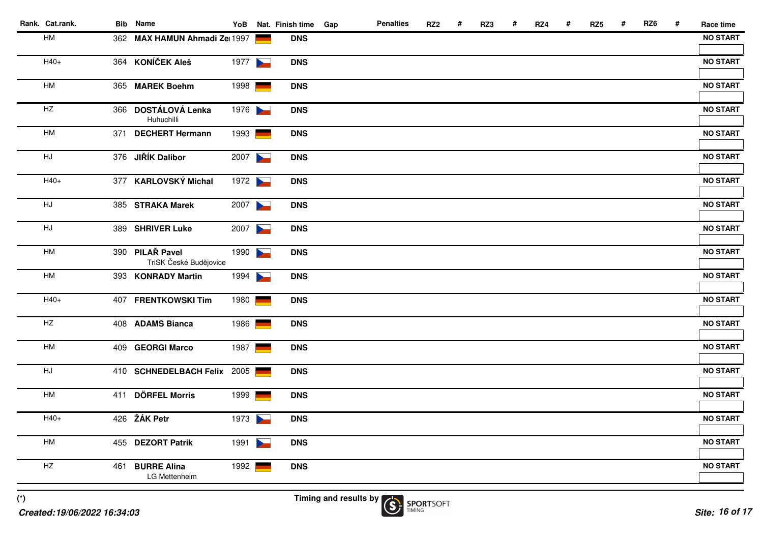| Rank. Cat.rank. | <b>Bib</b> Name                           |      |                | YoB Nat. Finish time Gap | <b>Penalties</b> | RZ <sub>2</sub> | # | RZ3 | # | RZ4 | # | RZ <sub>5</sub> | # | RZ <sub>6</sub> | # | Race time       |
|-----------------|-------------------------------------------|------|----------------|--------------------------|------------------|-----------------|---|-----|---|-----|---|-----------------|---|-----------------|---|-----------------|
| HM              | 362 MAX HAMUN Ahmadi Ze 1997              |      |                | <b>DNS</b>               |                  |                 |   |     |   |     |   |                 |   |                 |   | <b>NO START</b> |
| $H40+$          | 364 KONÍČEK Aleš                          | 1977 |                | <b>DNS</b>               |                  |                 |   |     |   |     |   |                 |   |                 |   | <b>NO START</b> |
| HM              | 365 MAREK Boehm                           | 1998 |                | <b>DNS</b>               |                  |                 |   |     |   |     |   |                 |   |                 |   | <b>NO START</b> |
| $\mathsf{HZ}$   | 366 DOSTÁLOVÁ Lenka<br>Huhuchilli         | 1976 |                | <b>DNS</b>               |                  |                 |   |     |   |     |   |                 |   |                 |   | <b>NO START</b> |
| HM              | 371 DECHERT Hermann                       | 1993 |                | <b>DNS</b>               |                  |                 |   |     |   |     |   |                 |   |                 |   | <b>NO START</b> |
| HJ              | 376 JIŘÍK Dalibor                         | 2007 |                | <b>DNS</b>               |                  |                 |   |     |   |     |   |                 |   |                 |   | <b>NO START</b> |
| $H40+$          | 377 KARLOVSKÝ Michal                      | 1972 |                | <b>DNS</b>               |                  |                 |   |     |   |     |   |                 |   |                 |   | <b>NO START</b> |
| HJ.             | 385 STRAKA Marek                          | 2007 |                | <b>DNS</b>               |                  |                 |   |     |   |     |   |                 |   |                 |   | <b>NO START</b> |
| HJ              | 389 SHRIVER Luke                          | 2007 |                | <b>DNS</b>               |                  |                 |   |     |   |     |   |                 |   |                 |   | <b>NO START</b> |
| HM              | 390 PILAŘ Pavel<br>TriSK České Budějovice | 1990 |                | <b>DNS</b>               |                  |                 |   |     |   |     |   |                 |   |                 |   | <b>NO START</b> |
| HM              | 393 KONRADY Martin                        | 1994 |                | <b>DNS</b>               |                  |                 |   |     |   |     |   |                 |   |                 |   | <b>NO START</b> |
| $H40+$          | 407 FRENTKOWSKI Tim                       | 1980 | <b>Service</b> | <b>DNS</b>               |                  |                 |   |     |   |     |   |                 |   |                 |   | <b>NO START</b> |
| HZ              | 408 ADAMS Bianca                          | 1986 |                | <b>DNS</b>               |                  |                 |   |     |   |     |   |                 |   |                 |   | <b>NO START</b> |
| HM              | 409 GEORGI Marco                          | 1987 |                | <b>DNS</b>               |                  |                 |   |     |   |     |   |                 |   |                 |   | <b>NO START</b> |
| HJ              | 410 SCHNEDELBACH Felix 2005               |      |                | <b>DNS</b>               |                  |                 |   |     |   |     |   |                 |   |                 |   | <b>NO START</b> |
| HM              | 411 DÖRFEL Morris                         | 1999 |                | <b>DNS</b>               |                  |                 |   |     |   |     |   |                 |   |                 |   | <b>NO START</b> |
| $H40+$          | 426 ŽÁK Petr                              | 1973 |                | <b>DNS</b>               |                  |                 |   |     |   |     |   |                 |   |                 |   | <b>NO START</b> |
| HM              | 455 DEZORT Patrik                         | 1991 |                | <b>DNS</b>               |                  |                 |   |     |   |     |   |                 |   |                 |   | <b>NO START</b> |
| HZ              | 461 BURRE Alina<br>LG Mettenheim          | 1992 |                | <b>DNS</b>               |                  |                 |   |     |   |     |   |                 |   |                 |   | <b>NO START</b> |